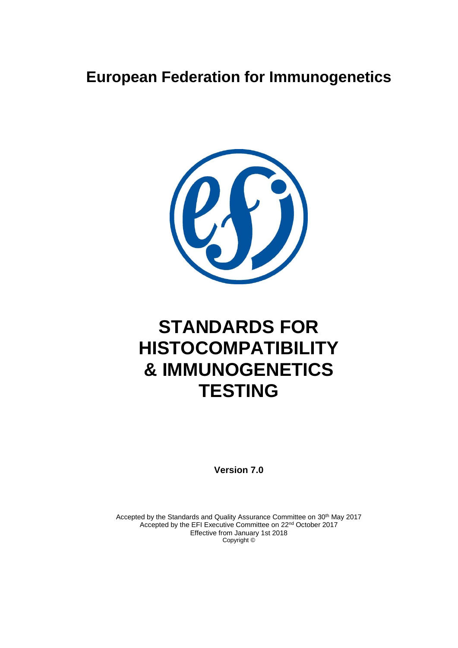### **European Federation for Immunogenetics**



# **STANDARDS FOR HISTOCOMPATIBILITY & IMMUNOGENETICS TESTING**

**Version 7.0**

Accepted by the Standards and Quality Assurance Committee on 30<sup>th</sup> May 2017 Accepted by the EFI Executive Committee on 22nd October 2017 Effective from January 1st 2018 Copyright ©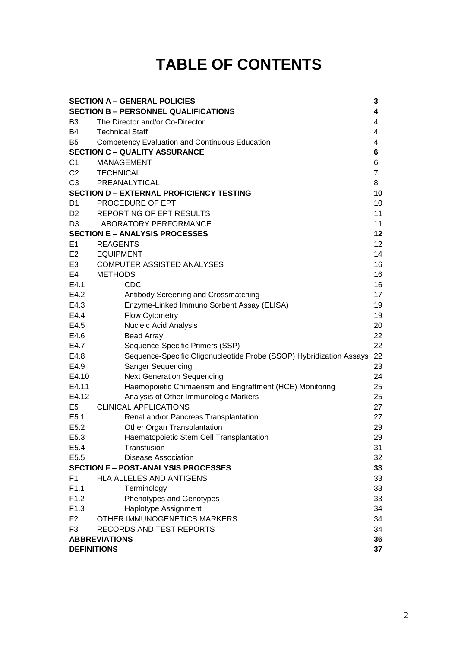## **TABLE OF CONTENTS**

| <b>SECTION A - GENERAL POLICIES</b><br>3 |                                                                     |                 |
|------------------------------------------|---------------------------------------------------------------------|-----------------|
|                                          | <b>SECTION B - PERSONNEL QUALIFICATIONS</b>                         | 4               |
| B <sub>3</sub>                           | The Director and/or Co-Director                                     | 4               |
| <b>B4</b>                                | <b>Technical Staff</b>                                              | 4               |
| B <sub>5</sub>                           | <b>Competency Evaluation and Continuous Education</b>               | 4               |
|                                          | <b>SECTION C - QUALITY ASSURANCE</b>                                | 6               |
| C <sub>1</sub>                           | <b>MANAGEMENT</b>                                                   | 6               |
| C <sub>2</sub>                           | <b>TECHNICAL</b>                                                    | $\overline{7}$  |
| C <sub>3</sub>                           | PREANALYTICAL                                                       | 8               |
|                                          | <b>SECTION D - EXTERNAL PROFICIENCY TESTING</b>                     | 10              |
| D <sub>1</sub>                           | PROCEDURE OF EPT                                                    | 10              |
| D <sub>2</sub>                           | REPORTING OF EPT RESULTS                                            | 11              |
| D <sub>3</sub>                           | LABORATORY PERFORMANCE                                              | 11              |
|                                          | <b>SECTION E - ANALYSIS PROCESSES</b>                               | 12              |
| E1                                       | <b>REAGENTS</b>                                                     | 12 <sub>2</sub> |
| E <sub>2</sub>                           | <b>EQUIPMENT</b>                                                    | 14              |
| E <sub>3</sub>                           | <b>COMPUTER ASSISTED ANALYSES</b>                                   | 16              |
| E4                                       | <b>METHODS</b>                                                      | 16              |
| E4.1                                     | <b>CDC</b>                                                          | 16              |
| E4.2                                     | Antibody Screening and Crossmatching                                | 17              |
| E4.3                                     | Enzyme-Linked Immuno Sorbent Assay (ELISA)                          | 19              |
| E4.4                                     | Flow Cytometry                                                      | 19              |
| E4.5                                     | <b>Nucleic Acid Analysis</b>                                        | 20              |
| E4.6                                     | <b>Bead Array</b>                                                   | 22              |
| E4.7                                     | Sequence-Specific Primers (SSP)                                     | 22              |
| E4.8                                     | Sequence-Specific Oligonucleotide Probe (SSOP) Hybridization Assays | 22              |
| E4.9                                     | Sanger Sequencing                                                   | 23              |
| E4.10                                    | <b>Next Generation Sequencing</b>                                   | 24              |
| E4.11                                    | Haemopoietic Chimaerism and Engraftment (HCE) Monitoring            | 25              |
| E4.12                                    | Analysis of Other Immunologic Markers                               | 25              |
| E <sub>5</sub>                           | <b>CLINICAL APPLICATIONS</b>                                        | 27              |
| E5.1                                     | Renal and/or Pancreas Transplantation                               | 27              |
| E5.2                                     | Other Organ Transplantation                                         | 29              |
| E5.3                                     | Haematopoietic Stem Cell Transplantation                            | 29              |
| E5.4                                     | Transfusion                                                         | 31              |
| E5.5                                     | <b>Disease Association</b>                                          | 32              |
|                                          | <b>SECTION F - POST-ANALYSIS PROCESSES</b>                          | 33              |
| F <sub>1</sub>                           | <b>HLA ALLELES AND ANTIGENS</b>                                     | 33              |
| F1.1                                     | Terminology                                                         | 33              |
| F1.2                                     | Phenotypes and Genotypes                                            | 33              |
| F1.3                                     | Haplotype Assignment                                                | 34              |
| F <sub>2</sub>                           | OTHER IMMUNOGENETICS MARKERS                                        | 34              |
| F <sub>3</sub>                           | RECORDS AND TEST REPORTS                                            | 34              |
| <b>ABBREVIATIONS</b>                     |                                                                     | 36              |
| 37<br><b>DEFINITIONS</b>                 |                                                                     |                 |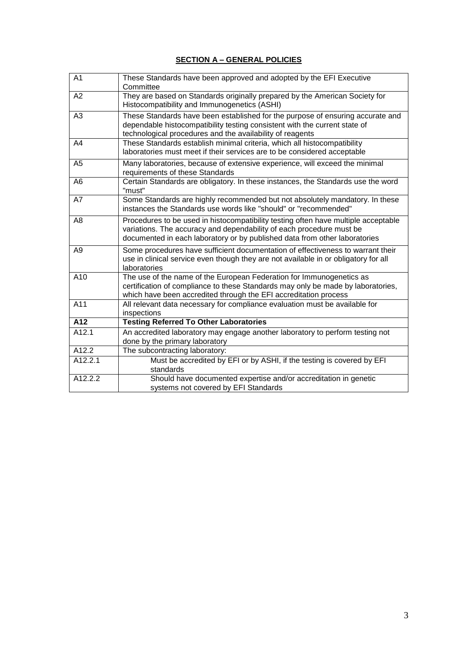| A <sub>1</sub>     | These Standards have been approved and adopted by the EFI Executive<br>Committee                                                                                                                                                         |
|--------------------|------------------------------------------------------------------------------------------------------------------------------------------------------------------------------------------------------------------------------------------|
| A2                 | They are based on Standards originally prepared by the American Society for<br>Histocompatibility and Immunogenetics (ASHI)                                                                                                              |
| A <sub>3</sub>     | These Standards have been established for the purpose of ensuring accurate and<br>dependable histocompatibility testing consistent with the current state of<br>technological procedures and the availability of reagents                |
| A4                 | These Standards establish minimal criteria, which all histocompatibility<br>laboratories must meet if their services are to be considered acceptable                                                                                     |
| A <sub>5</sub>     | Many laboratories, because of extensive experience, will exceed the minimal<br>requirements of these Standards                                                                                                                           |
| A <sub>6</sub>     | Certain Standards are obligatory. In these instances, the Standards use the word<br>"must"                                                                                                                                               |
| A7                 | Some Standards are highly recommended but not absolutely mandatory. In these<br>instances the Standards use words like "should" or "recommended"                                                                                         |
| A8                 | Procedures to be used in histocompatibility testing often have multiple acceptable<br>variations. The accuracy and dependability of each procedure must be<br>documented in each laboratory or by published data from other laboratories |
| A <sub>9</sub>     | Some procedures have sufficient documentation of effectiveness to warrant their<br>use in clinical service even though they are not available in or obligatory for all<br>laboratories                                                   |
| A10                | The use of the name of the European Federation for Immunogenetics as<br>certification of compliance to these Standards may only be made by laboratories,<br>which have been accredited through the EFI accreditation process             |
| A11                | All relevant data necessary for compliance evaluation must be available for<br>inspections                                                                                                                                               |
| A12                | <b>Testing Referred To Other Laboratories</b>                                                                                                                                                                                            |
| $\overline{A12.1}$ | An accredited laboratory may engage another laboratory to perform testing not<br>done by the primary laboratory                                                                                                                          |
| A12.2              | The subcontracting laboratory:                                                                                                                                                                                                           |
| A12.2.1            | Must be accredited by EFI or by ASHI, if the testing is covered by EFI<br>standards                                                                                                                                                      |
| A12.2.2            | Should have documented expertise and/or accreditation in genetic<br>systems not covered by EFI Standards                                                                                                                                 |

#### **SECTION A – GENERAL POLICIES**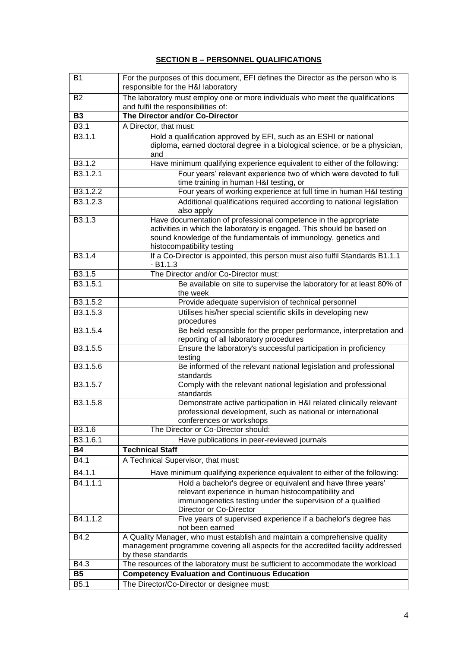#### **SECTION B – PERSONNEL QUALIFICATIONS**

| B1                    | For the purposes of this document, EFI defines the Director as the person who is<br>responsible for the H&I laboratory                                                                                                                      |
|-----------------------|---------------------------------------------------------------------------------------------------------------------------------------------------------------------------------------------------------------------------------------------|
| <b>B2</b>             | The laboratory must employ one or more individuals who meet the qualifications<br>and fulfil the responsibilities of:                                                                                                                       |
| <b>B3</b>             | The Director and/or Co-Director                                                                                                                                                                                                             |
| B3.1                  | A Director, that must:                                                                                                                                                                                                                      |
| B3.1.1                | Hold a qualification approved by EFI, such as an ESHI or national                                                                                                                                                                           |
|                       | diploma, earned doctoral degree in a biological science, or be a physician,<br>and                                                                                                                                                          |
| B3.1.2                | Have minimum qualifying experience equivalent to either of the following:                                                                                                                                                                   |
| B <sub>3.1.2.1</sub>  | Four years' relevant experience two of which were devoted to full<br>time training in human H&I testing, or                                                                                                                                 |
| B3.1.2.2              | Four years of working experience at full time in human H&I testing                                                                                                                                                                          |
| B3.1.2.3              | Additional qualifications required according to national legislation                                                                                                                                                                        |
|                       | also apply                                                                                                                                                                                                                                  |
| B3.1.3                | Have documentation of professional competence in the appropriate<br>activities in which the laboratory is engaged. This should be based on<br>sound knowledge of the fundamentals of immunology, genetics and<br>histocompatibility testing |
| B <sub>3.1.4</sub>    | If a Co-Director is appointed, this person must also fulfil Standards B1.1.1<br>$-B1.1.3$                                                                                                                                                   |
| B3.1.5                | The Director and/or Co-Director must:                                                                                                                                                                                                       |
| B3.1.5.1              | Be available on site to supervise the laboratory for at least 80% of<br>the week                                                                                                                                                            |
| B3.1.5.2              | Provide adequate supervision of technical personnel                                                                                                                                                                                         |
| B3.1.5.3              | Utilises his/her special scientific skills in developing new                                                                                                                                                                                |
|                       | procedures                                                                                                                                                                                                                                  |
| B3.1.5.4              | Be held responsible for the proper performance, interpretation and<br>reporting of all laboratory procedures                                                                                                                                |
| B3.1.5.5              | Ensure the laboratory's successful participation in proficiency<br>testing                                                                                                                                                                  |
| B3.1.5.6              | Be informed of the relevant national legislation and professional<br>standards                                                                                                                                                              |
| B3.1.5.7              | Comply with the relevant national legislation and professional<br>standards                                                                                                                                                                 |
| B <sub>3.1</sub> .5.8 | Demonstrate active participation in H&I related clinically relevant<br>professional development, such as national or international<br>conferences or workshops                                                                              |
| B3.1.6                | The Director or Co-Director should:                                                                                                                                                                                                         |
| B3.1.6.1              | Have publications in peer-reviewed journals                                                                                                                                                                                                 |
| <b>B4</b>             | <b>Technical Staff</b>                                                                                                                                                                                                                      |
| B4.1                  | A Technical Supervisor, that must:                                                                                                                                                                                                          |
| B4.1.1                | Have minimum qualifying experience equivalent to either of the following:                                                                                                                                                                   |
| B4.1.1.1              | Hold a bachelor's degree or equivalent and have three years'                                                                                                                                                                                |
|                       | relevant experience in human histocompatibility and                                                                                                                                                                                         |
|                       | immunogenetics testing under the supervision of a qualified                                                                                                                                                                                 |
|                       | Director or Co-Director                                                                                                                                                                                                                     |
| B4.1.1.2              | Five years of supervised experience if a bachelor's degree has<br>not been earned                                                                                                                                                           |
| B4.2                  | A Quality Manager, who must establish and maintain a comprehensive quality<br>management programme covering all aspects for the accredited facility addressed                                                                               |
|                       | by these standards                                                                                                                                                                                                                          |
| B4.3                  | The resources of the laboratory must be sufficient to accommodate the workload                                                                                                                                                              |
| <b>B5</b>             | <b>Competency Evaluation and Continuous Education</b>                                                                                                                                                                                       |
| B <sub>5.1</sub>      | The Director/Co-Director or designee must:                                                                                                                                                                                                  |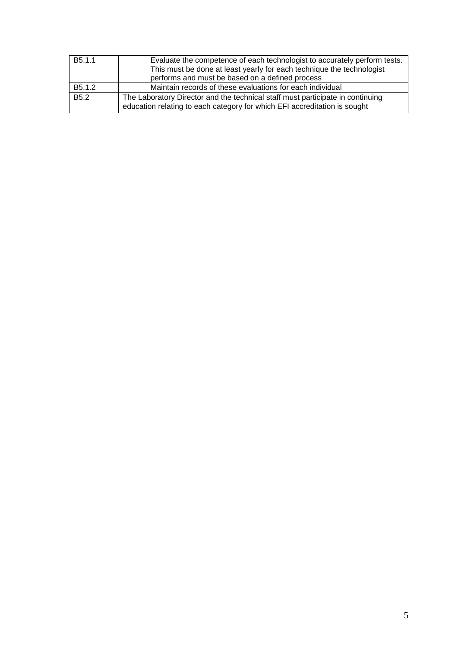| B <sub>5.1.1</sub>  | Evaluate the competence of each technologist to accurately perform tests.<br>This must be done at least yearly for each technique the technologist<br>performs and must be based on a defined process |
|---------------------|-------------------------------------------------------------------------------------------------------------------------------------------------------------------------------------------------------|
| B <sub>5</sub> .1.2 | Maintain records of these evaluations for each individual                                                                                                                                             |
| B <sub>5.2</sub>    | The Laboratory Director and the technical staff must participate in continuing<br>education relating to each category for which EFI accreditation is sought                                           |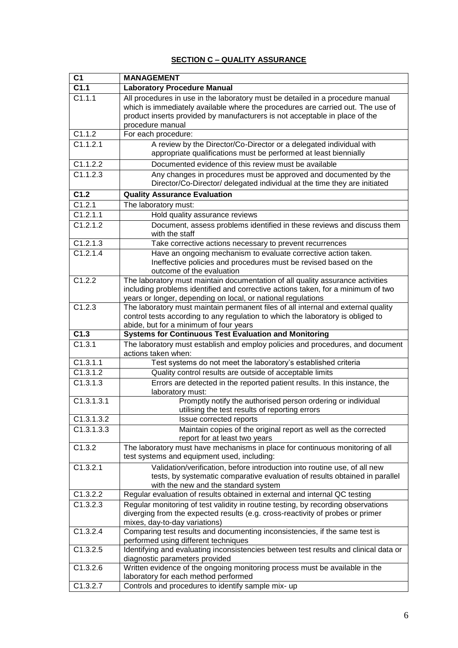#### **SECTION C – QUALITY ASSURANCE**

| C <sub>1</sub>      | <b>MANAGEMENT</b>                                                                                                                                                                                                                                                    |
|---------------------|----------------------------------------------------------------------------------------------------------------------------------------------------------------------------------------------------------------------------------------------------------------------|
| C1.1                | <b>Laboratory Procedure Manual</b>                                                                                                                                                                                                                                   |
| $\overline{C1.1.1}$ | All procedures in use in the laboratory must be detailed in a procedure manual<br>which is immediately available where the procedures are carried out. The use of<br>product inserts provided by manufacturers is not acceptable in place of the<br>procedure manual |
| C1.1.2              | For each procedure:                                                                                                                                                                                                                                                  |
| C1.1.2.1            | A review by the Director/Co-Director or a delegated individual with<br>appropriate qualifications must be performed at least biennially                                                                                                                              |
| C1.1.2.2            | Documented evidence of this review must be available                                                                                                                                                                                                                 |
| C1.1.2.3            | Any changes in procedures must be approved and documented by the<br>Director/Co-Director/ delegated individual at the time they are initiated                                                                                                                        |
| C1.2                | <b>Quality Assurance Evaluation</b>                                                                                                                                                                                                                                  |
| C1.2.1              | The laboratory must:                                                                                                                                                                                                                                                 |
| C1.2.1.1            | Hold quality assurance reviews                                                                                                                                                                                                                                       |
| C1.2.1.2            | Document, assess problems identified in these reviews and discuss them<br>with the staff                                                                                                                                                                             |
| C1.2.1.3            | Take corrective actions necessary to prevent recurrences                                                                                                                                                                                                             |
| C1.2.1.4            | Have an ongoing mechanism to evaluate corrective action taken.<br>Ineffective policies and procedures must be revised based on the<br>outcome of the evaluation                                                                                                      |
| C1.2.2              | The laboratory must maintain documentation of all quality assurance activities<br>including problems identified and corrective actions taken, for a minimum of two<br>years or longer, depending on local, or national regulations                                   |
| C1.2.3              | The laboratory must maintain permanent files of all internal and external quality<br>control tests according to any regulation to which the laboratory is obliged to<br>abide, but for a minimum of four years                                                       |
| C1.3                | <b>Systems for Continuous Test Evaluation and Monitoring</b>                                                                                                                                                                                                         |
| C1.3.1              | The laboratory must establish and employ policies and procedures, and document<br>actions taken when:                                                                                                                                                                |
| C1.3.1.1            | Test systems do not meet the laboratory's established criteria                                                                                                                                                                                                       |
| C1.3.1.2            | Quality control results are outside of acceptable limits                                                                                                                                                                                                             |
| C1.3.1.3            | Errors are detected in the reported patient results. In this instance, the<br>laboratory must:                                                                                                                                                                       |
| C1.3.1.3.1          | Promptly notify the authorised person ordering or individual<br>utilising the test results of reporting errors                                                                                                                                                       |
| C1.3.1.3.2          | Issue corrected reports                                                                                                                                                                                                                                              |
| C1.3.1.3.3          | Maintain copies of the original report as well as the corrected<br>report for at least two years                                                                                                                                                                     |
| C1.3.2              | The laboratory must have mechanisms in place for continuous monitoring of all<br>test systems and equipment used, including:                                                                                                                                         |
| C1.3.2.1            | Validation/verification, before introduction into routine use, of all new<br>tests, by systematic comparative evaluation of results obtained in parallel<br>with the new and the standard system                                                                     |
| C1.3.2.2            | Regular evaluation of results obtained in external and internal QC testing                                                                                                                                                                                           |
| C1.3.2.3            | Regular monitoring of test validity in routine testing, by recording observations<br>diverging from the expected results (e.g. cross-reactivity of probes or primer<br>mixes, day-to-day variations)                                                                 |
| C1.3.2.4            | Comparing test results and documenting inconsistencies, if the same test is<br>performed using different techniques                                                                                                                                                  |
| C1.3.2.5            | Identifying and evaluating inconsistencies between test results and clinical data or<br>diagnostic parameters provided                                                                                                                                               |
| C1.3.2.6            | Written evidence of the ongoing monitoring process must be available in the<br>laboratory for each method performed                                                                                                                                                  |
| C1.3.2.7            | Controls and procedures to identify sample mix- up                                                                                                                                                                                                                   |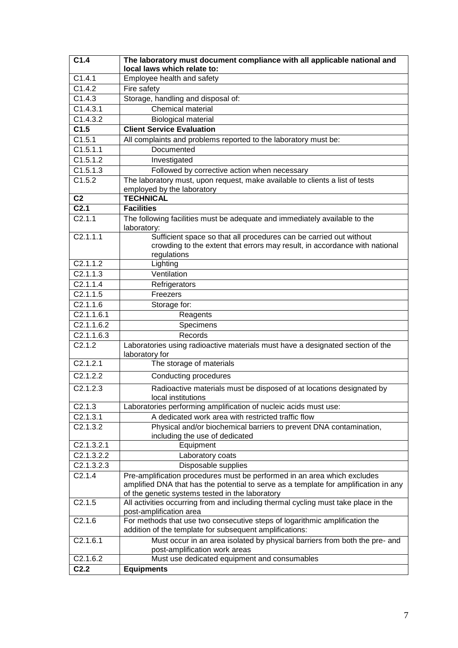| C1.4.1<br>Employee health and safety<br>C1.4.2<br>Fire safety<br>C1.4.3<br>Storage, handling and disposal of:<br>Chemical material<br>C1.4.3.1<br>C1.4.3.2<br><b>Biological material</b><br><b>Client Service Evaluation</b><br>C1.5<br>C1.5.1<br>All complaints and problems reported to the laboratory must be:<br>C1.5.1.1<br>Documented<br>$\overline{C1.5.1.2}$<br>Investigated<br>C1.5.1.3<br>Followed by corrective action when necessary<br>C1.5.2<br>The laboratory must, upon request, make available to clients a list of tests<br>employed by the laboratory<br><b>TECHNICAL</b><br>C <sub>2</sub><br>$\overline{C2.1}$<br><b>Facilities</b><br>The following facilities must be adequate and immediately available to the<br>C2.1.1<br>laboratory:<br>C2.1.1.1<br>Sufficient space so that all procedures can be carried out without<br>crowding to the extent that errors may result, in accordance with national<br>regulations<br>C2.1.1.2<br>Lighting<br>C2.1.1.3<br>Ventilation<br>C2.1.1.4<br>Refrigerators<br>C2.1.1.5<br>Freezers<br>C2.1.1.6<br>Storage for:<br>C2.1.1.6.1<br>Reagents<br>C2.1.1.6.2<br>Specimens<br>C2.1.1.6.3<br>Records<br>C2.1.2<br>Laboratories using radioactive materials must have a designated section of the<br>laboratory for<br>C2.1.2.1<br>The storage of materials<br>C2.1.2.2<br>Conducting procedures<br>C2.1.2.3<br>Radioactive materials must be disposed of at locations designated by<br>local institutions<br>Laboratories performing amplification of nucleic acids must use:<br>C2.1.3<br>C2.1.3.1<br>A dedicated work area with restricted traffic flow<br>C2.1.3.2<br>Physical and/or biochemical barriers to prevent DNA contamination,<br>including the use of dedicated<br>C2.1.3.2.1<br>Equipment<br>C2.1.3.2.2<br>Laboratory coats<br>C2.1.3.2.3<br>Disposable supplies<br>Pre-amplification procedures must be performed in an area which excludes<br>C2.1.4<br>amplified DNA that has the potential to serve as a template for amplification in any<br>of the genetic systems tested in the laboratory<br>C2.1.5<br>All activities occurring from and including thermal cycling must take place in the<br>post-amplification area<br>For methods that use two consecutive steps of logarithmic amplification the<br>C2.1.6<br>addition of the template for subsequent amplifications:<br>C2.1.6.1<br>Must occur in an area isolated by physical barriers from both the pre- and<br>post-amplification work areas<br>Must use dedicated equipment and consumables<br>C <sub>2.1.6.2</sub><br>C <sub>2.2</sub><br><b>Equipments</b> | C1.4 | The laboratory must document compliance with all applicable national and<br>local laws which relate to: |
|---------------------------------------------------------------------------------------------------------------------------------------------------------------------------------------------------------------------------------------------------------------------------------------------------------------------------------------------------------------------------------------------------------------------------------------------------------------------------------------------------------------------------------------------------------------------------------------------------------------------------------------------------------------------------------------------------------------------------------------------------------------------------------------------------------------------------------------------------------------------------------------------------------------------------------------------------------------------------------------------------------------------------------------------------------------------------------------------------------------------------------------------------------------------------------------------------------------------------------------------------------------------------------------------------------------------------------------------------------------------------------------------------------------------------------------------------------------------------------------------------------------------------------------------------------------------------------------------------------------------------------------------------------------------------------------------------------------------------------------------------------------------------------------------------------------------------------------------------------------------------------------------------------------------------------------------------------------------------------------------------------------------------------------------------------------------------------------------------------------------------------------------------------------------------------------------------------------------------------------------------------------------------------------------------------------------------------------------------------------------------------------------------------------------------------------------------------------------------------------------------------------------------------------------------------------------------------------------------------|------|---------------------------------------------------------------------------------------------------------|
|                                                                                                                                                                                                                                                                                                                                                                                                                                                                                                                                                                                                                                                                                                                                                                                                                                                                                                                                                                                                                                                                                                                                                                                                                                                                                                                                                                                                                                                                                                                                                                                                                                                                                                                                                                                                                                                                                                                                                                                                                                                                                                                                                                                                                                                                                                                                                                                                                                                                                                                                                                                                         |      |                                                                                                         |
|                                                                                                                                                                                                                                                                                                                                                                                                                                                                                                                                                                                                                                                                                                                                                                                                                                                                                                                                                                                                                                                                                                                                                                                                                                                                                                                                                                                                                                                                                                                                                                                                                                                                                                                                                                                                                                                                                                                                                                                                                                                                                                                                                                                                                                                                                                                                                                                                                                                                                                                                                                                                         |      |                                                                                                         |
|                                                                                                                                                                                                                                                                                                                                                                                                                                                                                                                                                                                                                                                                                                                                                                                                                                                                                                                                                                                                                                                                                                                                                                                                                                                                                                                                                                                                                                                                                                                                                                                                                                                                                                                                                                                                                                                                                                                                                                                                                                                                                                                                                                                                                                                                                                                                                                                                                                                                                                                                                                                                         |      |                                                                                                         |
|                                                                                                                                                                                                                                                                                                                                                                                                                                                                                                                                                                                                                                                                                                                                                                                                                                                                                                                                                                                                                                                                                                                                                                                                                                                                                                                                                                                                                                                                                                                                                                                                                                                                                                                                                                                                                                                                                                                                                                                                                                                                                                                                                                                                                                                                                                                                                                                                                                                                                                                                                                                                         |      |                                                                                                         |
|                                                                                                                                                                                                                                                                                                                                                                                                                                                                                                                                                                                                                                                                                                                                                                                                                                                                                                                                                                                                                                                                                                                                                                                                                                                                                                                                                                                                                                                                                                                                                                                                                                                                                                                                                                                                                                                                                                                                                                                                                                                                                                                                                                                                                                                                                                                                                                                                                                                                                                                                                                                                         |      |                                                                                                         |
|                                                                                                                                                                                                                                                                                                                                                                                                                                                                                                                                                                                                                                                                                                                                                                                                                                                                                                                                                                                                                                                                                                                                                                                                                                                                                                                                                                                                                                                                                                                                                                                                                                                                                                                                                                                                                                                                                                                                                                                                                                                                                                                                                                                                                                                                                                                                                                                                                                                                                                                                                                                                         |      |                                                                                                         |
|                                                                                                                                                                                                                                                                                                                                                                                                                                                                                                                                                                                                                                                                                                                                                                                                                                                                                                                                                                                                                                                                                                                                                                                                                                                                                                                                                                                                                                                                                                                                                                                                                                                                                                                                                                                                                                                                                                                                                                                                                                                                                                                                                                                                                                                                                                                                                                                                                                                                                                                                                                                                         |      |                                                                                                         |
|                                                                                                                                                                                                                                                                                                                                                                                                                                                                                                                                                                                                                                                                                                                                                                                                                                                                                                                                                                                                                                                                                                                                                                                                                                                                                                                                                                                                                                                                                                                                                                                                                                                                                                                                                                                                                                                                                                                                                                                                                                                                                                                                                                                                                                                                                                                                                                                                                                                                                                                                                                                                         |      |                                                                                                         |
|                                                                                                                                                                                                                                                                                                                                                                                                                                                                                                                                                                                                                                                                                                                                                                                                                                                                                                                                                                                                                                                                                                                                                                                                                                                                                                                                                                                                                                                                                                                                                                                                                                                                                                                                                                                                                                                                                                                                                                                                                                                                                                                                                                                                                                                                                                                                                                                                                                                                                                                                                                                                         |      |                                                                                                         |
|                                                                                                                                                                                                                                                                                                                                                                                                                                                                                                                                                                                                                                                                                                                                                                                                                                                                                                                                                                                                                                                                                                                                                                                                                                                                                                                                                                                                                                                                                                                                                                                                                                                                                                                                                                                                                                                                                                                                                                                                                                                                                                                                                                                                                                                                                                                                                                                                                                                                                                                                                                                                         |      |                                                                                                         |
|                                                                                                                                                                                                                                                                                                                                                                                                                                                                                                                                                                                                                                                                                                                                                                                                                                                                                                                                                                                                                                                                                                                                                                                                                                                                                                                                                                                                                                                                                                                                                                                                                                                                                                                                                                                                                                                                                                                                                                                                                                                                                                                                                                                                                                                                                                                                                                                                                                                                                                                                                                                                         |      |                                                                                                         |
|                                                                                                                                                                                                                                                                                                                                                                                                                                                                                                                                                                                                                                                                                                                                                                                                                                                                                                                                                                                                                                                                                                                                                                                                                                                                                                                                                                                                                                                                                                                                                                                                                                                                                                                                                                                                                                                                                                                                                                                                                                                                                                                                                                                                                                                                                                                                                                                                                                                                                                                                                                                                         |      |                                                                                                         |
|                                                                                                                                                                                                                                                                                                                                                                                                                                                                                                                                                                                                                                                                                                                                                                                                                                                                                                                                                                                                                                                                                                                                                                                                                                                                                                                                                                                                                                                                                                                                                                                                                                                                                                                                                                                                                                                                                                                                                                                                                                                                                                                                                                                                                                                                                                                                                                                                                                                                                                                                                                                                         |      |                                                                                                         |
|                                                                                                                                                                                                                                                                                                                                                                                                                                                                                                                                                                                                                                                                                                                                                                                                                                                                                                                                                                                                                                                                                                                                                                                                                                                                                                                                                                                                                                                                                                                                                                                                                                                                                                                                                                                                                                                                                                                                                                                                                                                                                                                                                                                                                                                                                                                                                                                                                                                                                                                                                                                                         |      |                                                                                                         |
|                                                                                                                                                                                                                                                                                                                                                                                                                                                                                                                                                                                                                                                                                                                                                                                                                                                                                                                                                                                                                                                                                                                                                                                                                                                                                                                                                                                                                                                                                                                                                                                                                                                                                                                                                                                                                                                                                                                                                                                                                                                                                                                                                                                                                                                                                                                                                                                                                                                                                                                                                                                                         |      |                                                                                                         |
|                                                                                                                                                                                                                                                                                                                                                                                                                                                                                                                                                                                                                                                                                                                                                                                                                                                                                                                                                                                                                                                                                                                                                                                                                                                                                                                                                                                                                                                                                                                                                                                                                                                                                                                                                                                                                                                                                                                                                                                                                                                                                                                                                                                                                                                                                                                                                                                                                                                                                                                                                                                                         |      |                                                                                                         |
|                                                                                                                                                                                                                                                                                                                                                                                                                                                                                                                                                                                                                                                                                                                                                                                                                                                                                                                                                                                                                                                                                                                                                                                                                                                                                                                                                                                                                                                                                                                                                                                                                                                                                                                                                                                                                                                                                                                                                                                                                                                                                                                                                                                                                                                                                                                                                                                                                                                                                                                                                                                                         |      |                                                                                                         |
|                                                                                                                                                                                                                                                                                                                                                                                                                                                                                                                                                                                                                                                                                                                                                                                                                                                                                                                                                                                                                                                                                                                                                                                                                                                                                                                                                                                                                                                                                                                                                                                                                                                                                                                                                                                                                                                                                                                                                                                                                                                                                                                                                                                                                                                                                                                                                                                                                                                                                                                                                                                                         |      |                                                                                                         |
|                                                                                                                                                                                                                                                                                                                                                                                                                                                                                                                                                                                                                                                                                                                                                                                                                                                                                                                                                                                                                                                                                                                                                                                                                                                                                                                                                                                                                                                                                                                                                                                                                                                                                                                                                                                                                                                                                                                                                                                                                                                                                                                                                                                                                                                                                                                                                                                                                                                                                                                                                                                                         |      |                                                                                                         |
|                                                                                                                                                                                                                                                                                                                                                                                                                                                                                                                                                                                                                                                                                                                                                                                                                                                                                                                                                                                                                                                                                                                                                                                                                                                                                                                                                                                                                                                                                                                                                                                                                                                                                                                                                                                                                                                                                                                                                                                                                                                                                                                                                                                                                                                                                                                                                                                                                                                                                                                                                                                                         |      |                                                                                                         |
|                                                                                                                                                                                                                                                                                                                                                                                                                                                                                                                                                                                                                                                                                                                                                                                                                                                                                                                                                                                                                                                                                                                                                                                                                                                                                                                                                                                                                                                                                                                                                                                                                                                                                                                                                                                                                                                                                                                                                                                                                                                                                                                                                                                                                                                                                                                                                                                                                                                                                                                                                                                                         |      |                                                                                                         |
|                                                                                                                                                                                                                                                                                                                                                                                                                                                                                                                                                                                                                                                                                                                                                                                                                                                                                                                                                                                                                                                                                                                                                                                                                                                                                                                                                                                                                                                                                                                                                                                                                                                                                                                                                                                                                                                                                                                                                                                                                                                                                                                                                                                                                                                                                                                                                                                                                                                                                                                                                                                                         |      |                                                                                                         |
|                                                                                                                                                                                                                                                                                                                                                                                                                                                                                                                                                                                                                                                                                                                                                                                                                                                                                                                                                                                                                                                                                                                                                                                                                                                                                                                                                                                                                                                                                                                                                                                                                                                                                                                                                                                                                                                                                                                                                                                                                                                                                                                                                                                                                                                                                                                                                                                                                                                                                                                                                                                                         |      |                                                                                                         |
|                                                                                                                                                                                                                                                                                                                                                                                                                                                                                                                                                                                                                                                                                                                                                                                                                                                                                                                                                                                                                                                                                                                                                                                                                                                                                                                                                                                                                                                                                                                                                                                                                                                                                                                                                                                                                                                                                                                                                                                                                                                                                                                                                                                                                                                                                                                                                                                                                                                                                                                                                                                                         |      |                                                                                                         |
|                                                                                                                                                                                                                                                                                                                                                                                                                                                                                                                                                                                                                                                                                                                                                                                                                                                                                                                                                                                                                                                                                                                                                                                                                                                                                                                                                                                                                                                                                                                                                                                                                                                                                                                                                                                                                                                                                                                                                                                                                                                                                                                                                                                                                                                                                                                                                                                                                                                                                                                                                                                                         |      |                                                                                                         |
|                                                                                                                                                                                                                                                                                                                                                                                                                                                                                                                                                                                                                                                                                                                                                                                                                                                                                                                                                                                                                                                                                                                                                                                                                                                                                                                                                                                                                                                                                                                                                                                                                                                                                                                                                                                                                                                                                                                                                                                                                                                                                                                                                                                                                                                                                                                                                                                                                                                                                                                                                                                                         |      |                                                                                                         |
|                                                                                                                                                                                                                                                                                                                                                                                                                                                                                                                                                                                                                                                                                                                                                                                                                                                                                                                                                                                                                                                                                                                                                                                                                                                                                                                                                                                                                                                                                                                                                                                                                                                                                                                                                                                                                                                                                                                                                                                                                                                                                                                                                                                                                                                                                                                                                                                                                                                                                                                                                                                                         |      |                                                                                                         |
|                                                                                                                                                                                                                                                                                                                                                                                                                                                                                                                                                                                                                                                                                                                                                                                                                                                                                                                                                                                                                                                                                                                                                                                                                                                                                                                                                                                                                                                                                                                                                                                                                                                                                                                                                                                                                                                                                                                                                                                                                                                                                                                                                                                                                                                                                                                                                                                                                                                                                                                                                                                                         |      |                                                                                                         |
|                                                                                                                                                                                                                                                                                                                                                                                                                                                                                                                                                                                                                                                                                                                                                                                                                                                                                                                                                                                                                                                                                                                                                                                                                                                                                                                                                                                                                                                                                                                                                                                                                                                                                                                                                                                                                                                                                                                                                                                                                                                                                                                                                                                                                                                                                                                                                                                                                                                                                                                                                                                                         |      |                                                                                                         |
|                                                                                                                                                                                                                                                                                                                                                                                                                                                                                                                                                                                                                                                                                                                                                                                                                                                                                                                                                                                                                                                                                                                                                                                                                                                                                                                                                                                                                                                                                                                                                                                                                                                                                                                                                                                                                                                                                                                                                                                                                                                                                                                                                                                                                                                                                                                                                                                                                                                                                                                                                                                                         |      |                                                                                                         |
|                                                                                                                                                                                                                                                                                                                                                                                                                                                                                                                                                                                                                                                                                                                                                                                                                                                                                                                                                                                                                                                                                                                                                                                                                                                                                                                                                                                                                                                                                                                                                                                                                                                                                                                                                                                                                                                                                                                                                                                                                                                                                                                                                                                                                                                                                                                                                                                                                                                                                                                                                                                                         |      |                                                                                                         |
|                                                                                                                                                                                                                                                                                                                                                                                                                                                                                                                                                                                                                                                                                                                                                                                                                                                                                                                                                                                                                                                                                                                                                                                                                                                                                                                                                                                                                                                                                                                                                                                                                                                                                                                                                                                                                                                                                                                                                                                                                                                                                                                                                                                                                                                                                                                                                                                                                                                                                                                                                                                                         |      |                                                                                                         |
|                                                                                                                                                                                                                                                                                                                                                                                                                                                                                                                                                                                                                                                                                                                                                                                                                                                                                                                                                                                                                                                                                                                                                                                                                                                                                                                                                                                                                                                                                                                                                                                                                                                                                                                                                                                                                                                                                                                                                                                                                                                                                                                                                                                                                                                                                                                                                                                                                                                                                                                                                                                                         |      |                                                                                                         |
|                                                                                                                                                                                                                                                                                                                                                                                                                                                                                                                                                                                                                                                                                                                                                                                                                                                                                                                                                                                                                                                                                                                                                                                                                                                                                                                                                                                                                                                                                                                                                                                                                                                                                                                                                                                                                                                                                                                                                                                                                                                                                                                                                                                                                                                                                                                                                                                                                                                                                                                                                                                                         |      |                                                                                                         |
|                                                                                                                                                                                                                                                                                                                                                                                                                                                                                                                                                                                                                                                                                                                                                                                                                                                                                                                                                                                                                                                                                                                                                                                                                                                                                                                                                                                                                                                                                                                                                                                                                                                                                                                                                                                                                                                                                                                                                                                                                                                                                                                                                                                                                                                                                                                                                                                                                                                                                                                                                                                                         |      |                                                                                                         |
|                                                                                                                                                                                                                                                                                                                                                                                                                                                                                                                                                                                                                                                                                                                                                                                                                                                                                                                                                                                                                                                                                                                                                                                                                                                                                                                                                                                                                                                                                                                                                                                                                                                                                                                                                                                                                                                                                                                                                                                                                                                                                                                                                                                                                                                                                                                                                                                                                                                                                                                                                                                                         |      |                                                                                                         |
|                                                                                                                                                                                                                                                                                                                                                                                                                                                                                                                                                                                                                                                                                                                                                                                                                                                                                                                                                                                                                                                                                                                                                                                                                                                                                                                                                                                                                                                                                                                                                                                                                                                                                                                                                                                                                                                                                                                                                                                                                                                                                                                                                                                                                                                                                                                                                                                                                                                                                                                                                                                                         |      |                                                                                                         |
|                                                                                                                                                                                                                                                                                                                                                                                                                                                                                                                                                                                                                                                                                                                                                                                                                                                                                                                                                                                                                                                                                                                                                                                                                                                                                                                                                                                                                                                                                                                                                                                                                                                                                                                                                                                                                                                                                                                                                                                                                                                                                                                                                                                                                                                                                                                                                                                                                                                                                                                                                                                                         |      |                                                                                                         |
|                                                                                                                                                                                                                                                                                                                                                                                                                                                                                                                                                                                                                                                                                                                                                                                                                                                                                                                                                                                                                                                                                                                                                                                                                                                                                                                                                                                                                                                                                                                                                                                                                                                                                                                                                                                                                                                                                                                                                                                                                                                                                                                                                                                                                                                                                                                                                                                                                                                                                                                                                                                                         |      |                                                                                                         |
|                                                                                                                                                                                                                                                                                                                                                                                                                                                                                                                                                                                                                                                                                                                                                                                                                                                                                                                                                                                                                                                                                                                                                                                                                                                                                                                                                                                                                                                                                                                                                                                                                                                                                                                                                                                                                                                                                                                                                                                                                                                                                                                                                                                                                                                                                                                                                                                                                                                                                                                                                                                                         |      |                                                                                                         |
|                                                                                                                                                                                                                                                                                                                                                                                                                                                                                                                                                                                                                                                                                                                                                                                                                                                                                                                                                                                                                                                                                                                                                                                                                                                                                                                                                                                                                                                                                                                                                                                                                                                                                                                                                                                                                                                                                                                                                                                                                                                                                                                                                                                                                                                                                                                                                                                                                                                                                                                                                                                                         |      |                                                                                                         |
|                                                                                                                                                                                                                                                                                                                                                                                                                                                                                                                                                                                                                                                                                                                                                                                                                                                                                                                                                                                                                                                                                                                                                                                                                                                                                                                                                                                                                                                                                                                                                                                                                                                                                                                                                                                                                                                                                                                                                                                                                                                                                                                                                                                                                                                                                                                                                                                                                                                                                                                                                                                                         |      |                                                                                                         |
|                                                                                                                                                                                                                                                                                                                                                                                                                                                                                                                                                                                                                                                                                                                                                                                                                                                                                                                                                                                                                                                                                                                                                                                                                                                                                                                                                                                                                                                                                                                                                                                                                                                                                                                                                                                                                                                                                                                                                                                                                                                                                                                                                                                                                                                                                                                                                                                                                                                                                                                                                                                                         |      |                                                                                                         |
|                                                                                                                                                                                                                                                                                                                                                                                                                                                                                                                                                                                                                                                                                                                                                                                                                                                                                                                                                                                                                                                                                                                                                                                                                                                                                                                                                                                                                                                                                                                                                                                                                                                                                                                                                                                                                                                                                                                                                                                                                                                                                                                                                                                                                                                                                                                                                                                                                                                                                                                                                                                                         |      |                                                                                                         |
|                                                                                                                                                                                                                                                                                                                                                                                                                                                                                                                                                                                                                                                                                                                                                                                                                                                                                                                                                                                                                                                                                                                                                                                                                                                                                                                                                                                                                                                                                                                                                                                                                                                                                                                                                                                                                                                                                                                                                                                                                                                                                                                                                                                                                                                                                                                                                                                                                                                                                                                                                                                                         |      |                                                                                                         |
|                                                                                                                                                                                                                                                                                                                                                                                                                                                                                                                                                                                                                                                                                                                                                                                                                                                                                                                                                                                                                                                                                                                                                                                                                                                                                                                                                                                                                                                                                                                                                                                                                                                                                                                                                                                                                                                                                                                                                                                                                                                                                                                                                                                                                                                                                                                                                                                                                                                                                                                                                                                                         |      |                                                                                                         |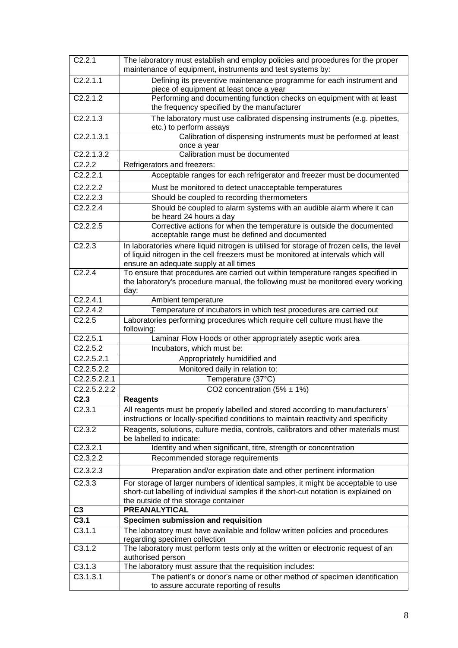| C2.2.1                           | The laboratory must establish and employ policies and procedures for the proper<br>maintenance of equipment, instruments and test systems by: |
|----------------------------------|-----------------------------------------------------------------------------------------------------------------------------------------------|
| C2.2.1.1                         | Defining its preventive maintenance programme for each instrument and<br>piece of equipment at least once a year                              |
| C2.2.1.2                         | Performing and documenting function checks on equipment with at least                                                                         |
|                                  | the frequency specified by the manufacturer                                                                                                   |
| C2.2.1.3                         | The laboratory must use calibrated dispensing instruments (e.g. pipettes,                                                                     |
| C2.2.1.3.1                       | etc.) to perform assays<br>Calibration of dispensing instruments must be performed at least                                                   |
|                                  | once a year                                                                                                                                   |
| C2.2.1.3.2                       | Calibration must be documented                                                                                                                |
| C2.2.2                           | Refrigerators and freezers:                                                                                                                   |
| C2.2.2.1                         | Acceptable ranges for each refrigerator and freezer must be documented                                                                        |
| C2.2.2.2                         | Must be monitored to detect unacceptable temperatures                                                                                         |
| C2.2.2.3                         | Should be coupled to recording thermometers                                                                                                   |
| C2.2.2.4                         | Should be coupled to alarm systems with an audible alarm where it can<br>be heard 24 hours a day                                              |
| C2.2.2.5                         | Corrective actions for when the temperature is outside the documented                                                                         |
|                                  | acceptable range must be defined and documented                                                                                               |
| C2.2.3                           | In laboratories where liquid nitrogen is utilised for storage of frozen cells, the level                                                      |
|                                  | of liquid nitrogen in the cell freezers must be monitored at intervals which will                                                             |
| C2.2.4                           | ensure an adequate supply at all times<br>To ensure that procedures are carried out within temperature ranges specified in                    |
|                                  | the laboratory's procedure manual, the following must be monitored every working                                                              |
|                                  | day:                                                                                                                                          |
| C2.2.4.1                         | Ambient temperature                                                                                                                           |
| C2.2.4.2                         | Temperature of incubators in which test procedures are carried out                                                                            |
| C2.2.5                           | Laboratories performing procedures which require cell culture must have the<br>following:                                                     |
| C2.2.5.1                         | Laminar Flow Hoods or other appropriately aseptic work area                                                                                   |
| C2.2.5.2                         | Incubators, which must be:                                                                                                                    |
| C2.2.5.2.1                       | Appropriately humidified and                                                                                                                  |
| C2.2.5.2.2                       | Monitored daily in relation to:                                                                                                               |
| C2.2.5.2.2.1                     | Temperature (37°C)                                                                                                                            |
| C2.2.5.2.2.2<br>C <sub>2.3</sub> | CO2 concentration $(5\% \pm 1\%)$                                                                                                             |
| C2.3.1                           | <b>Reagents</b><br>All reagents must be properly labelled and stored according to manufacturers'                                              |
|                                  | instructions or locally-specified conditions to maintain reactivity and specificity                                                           |
| C2.3.2                           | Reagents, solutions, culture media, controls, calibrators and other materials must                                                            |
|                                  | be labelled to indicate:                                                                                                                      |
| C2.3.2.1                         | Identity and when significant, titre, strength or concentration                                                                               |
| C <sub>2.3.2.2</sub>             | Recommended storage requirements                                                                                                              |
| C2.3.2.3                         | Preparation and/or expiration date and other pertinent information                                                                            |
| C2.3.3                           | For storage of larger numbers of identical samples, it might be acceptable to use                                                             |
|                                  | short-cut labelling of individual samples if the short-cut notation is explained on                                                           |
|                                  | the outside of the storage container                                                                                                          |
| C3<br>C3.1                       | <b>PREANALYTICAL</b><br>Specimen submission and requisition                                                                                   |
| C3.1.1                           | The laboratory must have available and follow written policies and procedures                                                                 |
|                                  | regarding specimen collection                                                                                                                 |
| C3.1.2                           | The laboratory must perform tests only at the written or electronic request of an<br>authorised person                                        |
| C3.1.3                           | The laboratory must assure that the requisition includes:                                                                                     |
| C3.1.3.1                         | The patient's or donor's name or other method of specimen identification                                                                      |
|                                  | to assure accurate reporting of results                                                                                                       |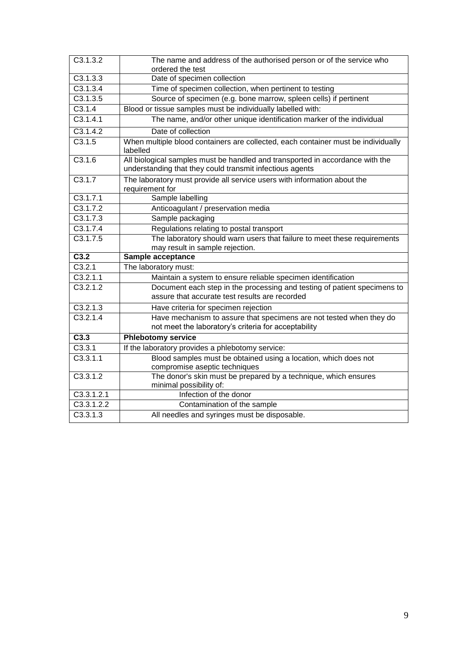| C3.1.3.2   | The name and address of the authorised person or of the service who<br>ordered the test                                                   |
|------------|-------------------------------------------------------------------------------------------------------------------------------------------|
| C3.1.3.3   | Date of specimen collection                                                                                                               |
| C3.1.3.4   | Time of specimen collection, when pertinent to testing                                                                                    |
| C3.1.3.5   | Source of specimen (e.g. bone marrow, spleen cells) if pertinent                                                                          |
| C3.1.4     | Blood or tissue samples must be individually labelled with:                                                                               |
| C3.1.4.1   | The name, and/or other unique identification marker of the individual                                                                     |
| C3.1.4.2   | Date of collection                                                                                                                        |
| C3.1.5     | When multiple blood containers are collected, each container must be individually<br>labelled                                             |
| C3.1.6     | All biological samples must be handled and transported in accordance with the<br>understanding that they could transmit infectious agents |
| C3.1.7     | The laboratory must provide all service users with information about the<br>requirement for                                               |
| C3.1.7.1   | Sample labelling                                                                                                                          |
| C3.1.7.2   | Anticoagulant / preservation media                                                                                                        |
| C3.1.7.3   | Sample packaging                                                                                                                          |
| C3.1.7.4   | Regulations relating to postal transport                                                                                                  |
| C3.1.7.5   | The laboratory should warn users that failure to meet these requirements                                                                  |
|            | may result in sample rejection.                                                                                                           |
| C3.2       | Sample acceptance                                                                                                                         |
| C3.2.1     | The laboratory must:                                                                                                                      |
| C3.2.1.1   | Maintain a system to ensure reliable specimen identification                                                                              |
| C3.2.1.2   | Document each step in the processing and testing of patient specimens to<br>assure that accurate test results are recorded                |
| C3.2.1.3   | Have criteria for specimen rejection                                                                                                      |
| C3.2.1.4   | Have mechanism to assure that specimens are not tested when they do<br>not meet the laboratory's criteria for acceptability               |
| C3.3       | <b>Phlebotomy service</b>                                                                                                                 |
| C3.3.1     | If the laboratory provides a phlebotomy service:                                                                                          |
| C3.3.1.1   | Blood samples must be obtained using a location, which does not<br>compromise aseptic techniques                                          |
| C3.3.1.2   | The donor's skin must be prepared by a technique, which ensures<br>minimal possibility of:                                                |
| C3.3.1.2.1 | Infection of the donor                                                                                                                    |
| C3.3.1.2.2 | Contamination of the sample                                                                                                               |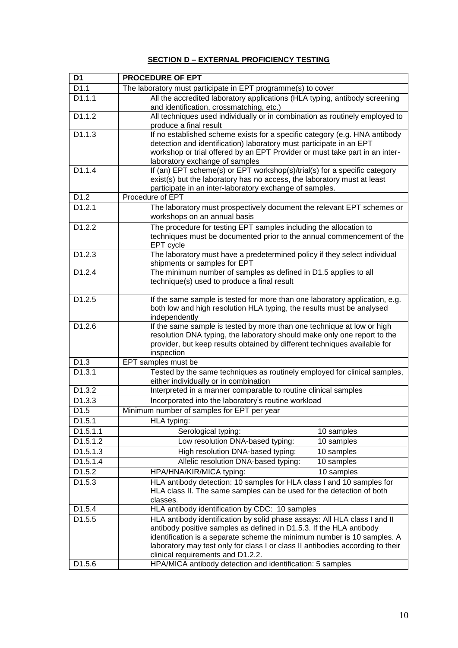#### **SECTION D – EXTERNAL PROFICIENCY TESTING**

| D1                  | <b>PROCEDURE OF EPT</b>                                                                                                                              |
|---------------------|------------------------------------------------------------------------------------------------------------------------------------------------------|
| D1.1                | The laboratory must participate in EPT programme(s) to cover                                                                                         |
| $\overline{D1.1.1}$ | All the accredited laboratory applications (HLA typing, antibody screening<br>and identification, crossmatching, etc.)                               |
| D1.1.2              | All techniques used individually or in combination as routinely employed to<br>produce a final result                                                |
| D1.1.3              | If no established scheme exists for a specific category (e.g. HNA antibody                                                                           |
|                     | detection and identification) laboratory must participate in an EPT                                                                                  |
|                     | workshop or trial offered by an EPT Provider or must take part in an inter-                                                                          |
| D1.1.4              | laboratory exchange of samples<br>If (an) EPT scheme(s) or EPT workshop(s)/trial(s) for a specific category                                          |
|                     | exist(s) but the laboratory has no access, the laboratory must at least                                                                              |
|                     | participate in an inter-laboratory exchange of samples.                                                                                              |
| D1.2                | Procedure of EPT                                                                                                                                     |
| D1.2.1              | The laboratory must prospectively document the relevant EPT schemes or<br>workshops on an annual basis                                               |
| D1.2.2              | The procedure for testing EPT samples including the allocation to                                                                                    |
|                     | techniques must be documented prior to the annual commencement of the                                                                                |
|                     | EPT cycle                                                                                                                                            |
| D1.2.3              | The laboratory must have a predetermined policy if they select individual<br>shipments or samples for EPT                                            |
| D1.2.4              | The minimum number of samples as defined in D1.5 applies to all                                                                                      |
|                     | technique(s) used to produce a final result                                                                                                          |
| D1.2.5              |                                                                                                                                                      |
|                     | If the same sample is tested for more than one laboratory application, e.g.<br>both low and high resolution HLA typing, the results must be analysed |
|                     | independently                                                                                                                                        |
| D1.2.6              | If the same sample is tested by more than one technique at low or high<br>resolution DNA typing, the laboratory should make only one report to the   |
|                     | provider, but keep results obtained by different techniques available for<br>inspection                                                              |
| D1.3                | EPT samples must be                                                                                                                                  |
| D1.3.1              | Tested by the same techniques as routinely employed for clinical samples,                                                                            |
|                     | either individually or in combination                                                                                                                |
| D1.3.2              | Interpreted in a manner comparable to routine clinical samples                                                                                       |
| D1.3.3              | Incorporated into the laboratory's routine workload                                                                                                  |
| D <sub>1.5</sub>    | Minimum number of samples for EPT per year                                                                                                           |
| D1.5.1              | HLA typing:                                                                                                                                          |
| D1.5.1.1            | Serological typing:<br>10 samples                                                                                                                    |
| D1.5.1.2            | Low resolution DNA-based typing:<br>10 samples                                                                                                       |
| D1.5.1.3            | High resolution DNA-based typing:<br>10 samples                                                                                                      |
| D1.5.1.4            | Allelic resolution DNA-based typing:<br>10 samples                                                                                                   |
| D1.5.2              | HPA/HNA/KIR/MICA typing:<br>10 samples                                                                                                               |
| D1.5.3              | HLA antibody detection: 10 samples for HLA class I and 10 samples for                                                                                |
|                     | HLA class II. The same samples can be used for the detection of both<br>classes.                                                                     |
| D <sub>1.5.4</sub>  | HLA antibody identification by CDC: 10 samples                                                                                                       |
| D1.5.5              | HLA antibody identification by solid phase assays: All HLA class I and II                                                                            |
|                     | antibody positive samples as defined in D1.5.3. If the HLA antibody                                                                                  |
|                     | identification is a separate scheme the minimum number is 10 samples. A                                                                              |
|                     | laboratory may test only for class I or class II antibodies according to their                                                                       |
|                     | clinical requirements and D1.2.2.                                                                                                                    |
| D <sub>1.5.6</sub>  | HPA/MICA antibody detection and identification: 5 samples                                                                                            |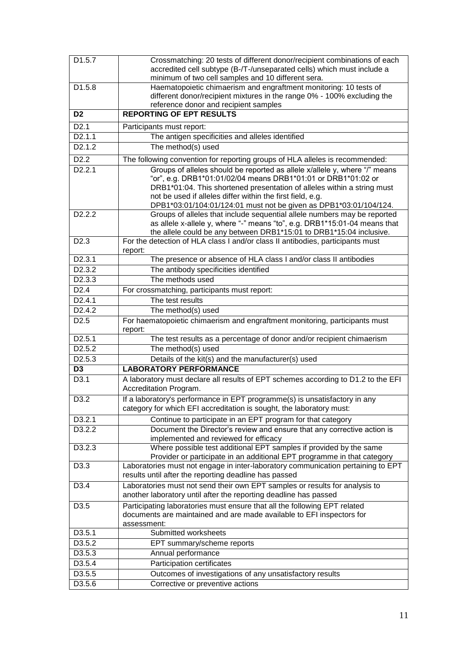| D1.5.7              | Crossmatching: 20 tests of different donor/recipient combinations of each                                                                                                                                              |
|---------------------|------------------------------------------------------------------------------------------------------------------------------------------------------------------------------------------------------------------------|
|                     | accredited cell subtype (B-/T-/unseparated cells) which must include a<br>minimum of two cell samples and 10 different sera.                                                                                           |
| D1.5.8              | Haematopoietic chimaerism and engraftment monitoring: 10 tests of                                                                                                                                                      |
|                     | different donor/recipient mixtures in the range 0% - 100% excluding the                                                                                                                                                |
|                     | reference donor and recipient samples                                                                                                                                                                                  |
| D <sub>2</sub>      | <b>REPORTING OF EPT RESULTS</b>                                                                                                                                                                                        |
| D2.1                | Participants must report:                                                                                                                                                                                              |
| D <sub>2</sub> .1.1 | The antigen specificities and alleles identified                                                                                                                                                                       |
| D2.1.2              | The method(s) used                                                                                                                                                                                                     |
| D2.2                | The following convention for reporting groups of HLA alleles is recommended:                                                                                                                                           |
| D <sub>2</sub> .2.1 | Groups of alleles should be reported as allele x/allele y, where "/" means<br>"or", e.g. DRB1*01:01/02/04 means DRB1*01:01 or DRB1*01:02 or<br>DRB1*01:04. This shortened presentation of alleles within a string must |
|                     | not be used if alleles differ within the first field, e.g.<br>DPB1*03:01/104:01/124:01 must not be given as DPB1*03:01/104/124.                                                                                        |
| D <sub>2</sub> .2.2 | Groups of alleles that include sequential allele numbers may be reported                                                                                                                                               |
|                     | as allele x-allele y, where "-" means "to", e.g. DRB1*15:01-04 means that<br>the allele could be any between DRB1*15:01 to DRB1*15:04 inclusive.                                                                       |
| D <sub>2.3</sub>    | For the detection of HLA class I and/or class II antibodies, participants must<br>report:                                                                                                                              |
| D <sub>2</sub> .3.1 | The presence or absence of HLA class I and/or class II antibodies                                                                                                                                                      |
| D2.3.2              | The antibody specificities identified                                                                                                                                                                                  |
| D <sub>2</sub> .3.3 | The methods used                                                                                                                                                                                                       |
| D <sub>2.4</sub>    | For crossmatching, participants must report:                                                                                                                                                                           |
| D <sub>2</sub> .4.1 | The test results                                                                                                                                                                                                       |
| D <sub>2.4.2</sub>  | The method(s) used                                                                                                                                                                                                     |
| D <sub>2.5</sub>    | For haematopoietic chimaerism and engraftment monitoring, participants must<br>report:                                                                                                                                 |
| D <sub>2.5.1</sub>  | The test results as a percentage of donor and/or recipient chimaerism                                                                                                                                                  |
| D <sub>2.5.2</sub>  | The method(s) used                                                                                                                                                                                                     |
| D2.5.3              | Details of the kit(s) and the manufacturer(s) used                                                                                                                                                                     |
| D <sub>3</sub>      | <b>LABORATORY PERFORMANCE</b>                                                                                                                                                                                          |
| D3.1                | A laboratory must declare all results of EPT schemes according to D1.2 to the EFI<br>Accreditation Program.                                                                                                            |
| D <sub>3.2</sub>    | If a laboratory's performance in EPT programme(s) is unsatisfactory in any                                                                                                                                             |
|                     | category for which EFI accreditation is sought, the laboratory must:                                                                                                                                                   |
| D <sub>3.2.1</sub>  | Continue to participate in an EPT program for that category                                                                                                                                                            |
| D <sub>3.2.2</sub>  | Document the Director's review and ensure that any corrective action is<br>implemented and reviewed for efficacy                                                                                                       |
| D <sub>3.2.3</sub>  | Where possible test additional EPT samples if provided by the same<br>Provider or participate in an additional EPT programme in that category                                                                          |
| D <sub>3.3</sub>    | Laboratories must not engage in inter-laboratory communication pertaining to EPT<br>results until after the reporting deadline has passed                                                                              |
| D <sub>3.4</sub>    | Laboratories must not send their own EPT samples or results for analysis to<br>another laboratory until after the reporting deadline has passed                                                                        |
| D <sub>3.5</sub>    | Participating laboratories must ensure that all the following EPT related<br>documents are maintained and are made available to EFI inspectors for<br>assessment:                                                      |
| D3.5.1              | Submitted worksheets                                                                                                                                                                                                   |
| D3.5.2              | EPT summary/scheme reports                                                                                                                                                                                             |
| D3.5.3              | Annual performance                                                                                                                                                                                                     |
| D3.5.4              | Participation certificates                                                                                                                                                                                             |
| D3.5.5              | Outcomes of investigations of any unsatisfactory results                                                                                                                                                               |
| D3.5.6              | Corrective or preventive actions                                                                                                                                                                                       |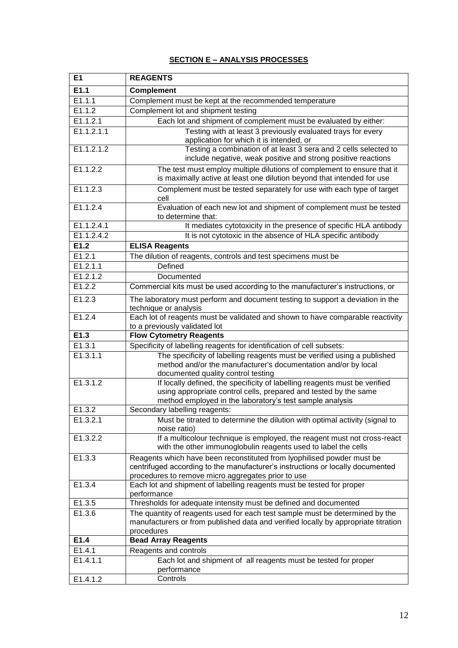#### **SECTION E – ANALYSIS PROCESSES**

| E1                  | <b>REAGENTS</b>                                                                                                                                                                                                |
|---------------------|----------------------------------------------------------------------------------------------------------------------------------------------------------------------------------------------------------------|
| E1.1                | <b>Complement</b>                                                                                                                                                                                              |
| E1.1.1              | Complement must be kept at the recommended temperature                                                                                                                                                         |
| E1.1.2              | Complement lot and shipment testing                                                                                                                                                                            |
| E1.1.2.1            | Each lot and shipment of complement must be evaluated by either:                                                                                                                                               |
| E1.1.2.1.1          | Testing with at least 3 previously evaluated trays for every<br>application for which it is intended, or                                                                                                       |
| E1.1.2.1.2          | Testing a combination of at least 3 sera and 2 cells selected to<br>include negative, weak positive and strong positive reactions                                                                              |
| E1.1.2.2            | The test must employ multiple dilutions of complement to ensure that it<br>is maximally active at least one dilution beyond that intended for use                                                              |
| E1.1.2.3            | Complement must be tested separately for use with each type of target<br>cell                                                                                                                                  |
| E1.1.2.4            | Evaluation of each new lot and shipment of complement must be tested<br>to determine that:                                                                                                                     |
| E1.1.2.4.1          | It mediates cytotoxicity in the presence of specific HLA antibody                                                                                                                                              |
| E1.1.2.4.2          | It is not cytotoxic in the absence of HLA specific antibody                                                                                                                                                    |
| E1.2                | <b>ELISA Reagents</b>                                                                                                                                                                                          |
| $\overline{E1.2.1}$ | The dilution of reagents, controls and test specimens must be                                                                                                                                                  |
| E1.2.1.1            | Defined                                                                                                                                                                                                        |
| E1.2.1.2            | Documented                                                                                                                                                                                                     |
| E1.2.2              | Commercial kits must be used according to the manufacturer's instructions, or                                                                                                                                  |
| E1.2.3              | The laboratory must perform and document testing to support a deviation in the<br>technique or analysis                                                                                                        |
| E1.2.4              | Each lot of reagents must be validated and shown to have comparable reactivity<br>to a previously validated lot                                                                                                |
| E1.3                | <b>Flow Cytometry Reagents</b>                                                                                                                                                                                 |
| E1.3.1              | Specificity of labelling reagents for identification of cell subsets:                                                                                                                                          |
| E1.3.1.1            | The specificity of labelling reagents must be verified using a published<br>method and/or the manufacturer's documentation and/or by local<br>documented quality control testing                               |
| E1.3.1.2            | If locally defined, the specificity of labelling reagents must be verified<br>using appropriate control cells, prepared and tested by the same<br>method employed in the laboratory's test sample analysis     |
| E1.3.2              | Secondary labelling reagents:                                                                                                                                                                                  |
| E1.3.2.1            | Must be titrated to determine the dilution with optimal activity (signal to<br>noise ratio)                                                                                                                    |
| E1.3.2.2            | If a multicolour technique is employed, the reagent must not cross-react<br>with the other immunoglobulin reagents used to label the cells                                                                     |
| E1.3.3              | Reagents which have been reconstituted from lyophilised powder must be<br>centrifuged according to the manufacturer's instructions or locally documented<br>procedures to remove micro aggregates prior to use |
| E1.3.4              | Each lot and shipment of labelling reagents must be tested for proper<br>performance                                                                                                                           |
| E1.3.5              | Thresholds for adequate intensity must be defined and documented                                                                                                                                               |
| E1.3.6              | The quantity of reagents used for each test sample must be determined by the<br>manufacturers or from published data and verified locally by appropriate titration<br>procedures                               |
| E1.4                | <b>Bead Array Reagents</b>                                                                                                                                                                                     |
| E1.4.1              | Reagents and controls                                                                                                                                                                                          |
| E1.4.1.1            | Each lot and shipment of all reagents must be tested for proper<br>performance                                                                                                                                 |
| E1.4.1.2            | Controls                                                                                                                                                                                                       |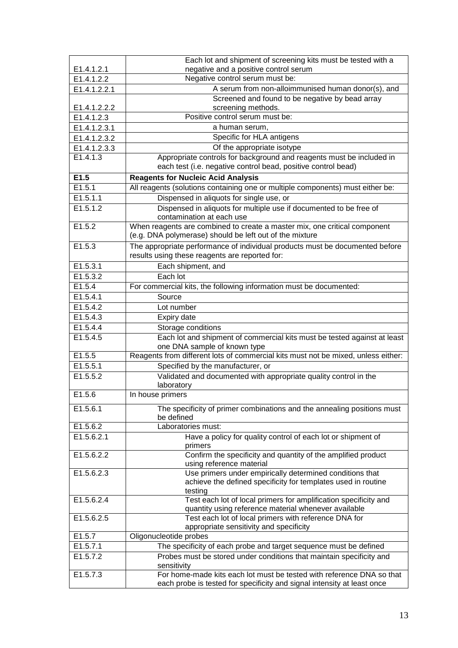|              | Each lot and shipment of screening kits must be tested with a                                                                        |
|--------------|--------------------------------------------------------------------------------------------------------------------------------------|
| E1.4.1.2.1   | negative and a positive control serum                                                                                                |
| E1.4.1.2.2   | Negative control serum must be:                                                                                                      |
| E1.4.1.2.2.1 | A serum from non-alloimmunised human donor(s), and                                                                                   |
| E1.4.1.2.2.2 | Screened and found to be negative by bead array<br>screening methods.                                                                |
| E1.4.1.2.3   | Positive control serum must be:                                                                                                      |
| E1.4.1.2.3.1 | a human serum,                                                                                                                       |
| E1.4.1.2.3.2 | Specific for HLA antigens                                                                                                            |
| E1.4.1.2.3.3 | Of the appropriate isotype                                                                                                           |
| E1.4.1.3     | Appropriate controls for background and reagents must be included in                                                                 |
|              | each test (i.e. negative control bead, positive control bead)                                                                        |
| E1.5         | <b>Reagents for Nucleic Acid Analysis</b>                                                                                            |
| E1.5.1       | All reagents (solutions containing one or multiple components) must either be:                                                       |
| E1.5.1.1     | Dispensed in aliquots for single use, or                                                                                             |
| E1.5.1.2     | Dispensed in aliquots for multiple use if documented to be free of                                                                   |
|              | contamination at each use                                                                                                            |
| E1.5.2       | When reagents are combined to create a master mix, one critical component<br>(e.g. DNA polymerase) should be left out of the mixture |
| E1.5.3       | The appropriate performance of individual products must be documented before<br>results using these reagents are reported for:       |
| E1.5.3.1     | Each shipment, and                                                                                                                   |
| E1.5.3.2     | Each lot                                                                                                                             |
| E1.5.4       | For commercial kits, the following information must be documented:                                                                   |
| E1.5.4.1     | Source                                                                                                                               |
| E1.5.4.2     | Lot number                                                                                                                           |
| E1.5.4.3     | Expiry date                                                                                                                          |
| E1.5.4.4     | Storage conditions                                                                                                                   |
| E1.5.4.5     | Each lot and shipment of commercial kits must be tested against at least<br>one DNA sample of known type                             |
| E1.5.5       | Reagents from different lots of commercial kits must not be mixed, unless either:                                                    |
| E1.5.5.1     | Specified by the manufacturer, or                                                                                                    |
| E1.5.5.2     | Validated and documented with appropriate quality control in the<br>laboratory                                                       |
| E1.5.6       | In house primers                                                                                                                     |
| E1.5.6.1     | The specificity of primer combinations and the annealing positions must                                                              |
|              | be defined                                                                                                                           |
| E1.5.6.2     | Laboratories must:                                                                                                                   |
| E1.5.6.2.1   | Have a policy for quality control of each lot or shipment of                                                                         |
|              | primers                                                                                                                              |
| E1.5.6.2.2   | Confirm the specificity and quantity of the amplified product                                                                        |
| E1.5.6.2.3   | using reference material                                                                                                             |
|              | Use primers under empirically determined conditions that<br>achieve the defined specificity for templates used in routine            |
|              | testing                                                                                                                              |
| E1.5.6.2.4   | Test each lot of local primers for amplification specificity and                                                                     |
|              | quantity using reference material whenever available                                                                                 |
| E1.5.6.2.5   | Test each lot of local primers with reference DNA for<br>appropriate sensitivity and specificity                                     |
| E1.5.7       | Oligonucleotide probes                                                                                                               |
| E1.5.7.1     | The specificity of each probe and target sequence must be defined                                                                    |
| E1.5.7.2     | Probes must be stored under conditions that maintain specificity and                                                                 |
|              | sensitivity                                                                                                                          |
| E1.5.7.3     | For home-made kits each lot must be tested with reference DNA so that                                                                |
|              | each probe is tested for specificity and signal intensity at least once                                                              |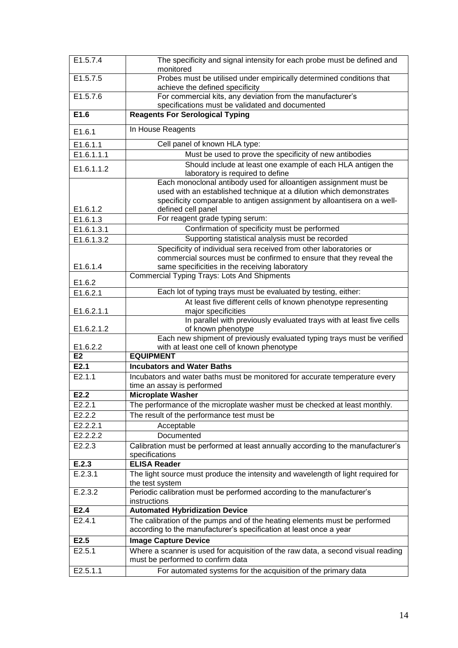| E1.5.7.4              | The specificity and signal intensity for each probe must be defined and<br>monitored                                                             |
|-----------------------|--------------------------------------------------------------------------------------------------------------------------------------------------|
| $\overline{E1.5.7.5}$ | Probes must be utilised under empirically determined conditions that<br>achieve the defined specificity                                          |
| E1.5.7.6              | For commercial kits, any deviation from the manufacturer's                                                                                       |
|                       | specifications must be validated and documented                                                                                                  |
| E1.6                  | <b>Reagents For Serological Typing</b>                                                                                                           |
| E1.6.1                | In House Reagents                                                                                                                                |
| E1.6.1.1              | Cell panel of known HLA type:                                                                                                                    |
| E1.6.1.1.1            | Must be used to prove the specificity of new antibodies                                                                                          |
| E1.6.1.1.2            | Should include at least one example of each HLA antigen the<br>laboratory is required to define                                                  |
|                       | Each monoclonal antibody used for alloantigen assignment must be                                                                                 |
|                       | used with an established technique at a dilution which demonstrates<br>specificity comparable to antigen assignment by alloantisera on a well-   |
| E1.6.1.2              | defined cell panel                                                                                                                               |
| E1.6.1.3              | For reagent grade typing serum:                                                                                                                  |
| E1.6.1.3.1            | Confirmation of specificity must be performed                                                                                                    |
| E1.6.1.3.2            | Supporting statistical analysis must be recorded                                                                                                 |
|                       | Specificity of individual sera received from other laboratories or                                                                               |
|                       | commercial sources must be confirmed to ensure that they reveal the                                                                              |
| E1.6.1.4              | same specificities in the receiving laboratory<br><b>Commercial Typing Trays: Lots And Shipments</b>                                             |
| E1.6.2                |                                                                                                                                                  |
| E1.6.2.1              | Each lot of typing trays must be evaluated by testing, either:                                                                                   |
|                       | At least five different cells of known phenotype representing                                                                                    |
| E1.6.2.1.1            | major specificities<br>In parallel with previously evaluated trays with at least five cells                                                      |
| E1.6.2.1.2            | of known phenotype                                                                                                                               |
|                       | Each new shipment of previously evaluated typing trays must be verified                                                                          |
| E1.6.2.2              | with at least one cell of known phenotype                                                                                                        |
| E <sub>2</sub>        | <b>EQUIPMENT</b>                                                                                                                                 |
| E2.1                  | <b>Incubators and Water Baths</b>                                                                                                                |
| E2.1.1                | Incubators and water baths must be monitored for accurate temperature every<br>time an assay is performed                                        |
| E2.2                  | <b>Microplate Washer</b>                                                                                                                         |
| E2.2.1                | The performance of the microplate washer must be checked at least monthly.                                                                       |
| E2.2.2                | The result of the performance test must be                                                                                                       |
| E2.2.2.1              | Acceptable                                                                                                                                       |
| E2.2.2.2              | Documented                                                                                                                                       |
| E2.2.3                | Calibration must be performed at least annually according to the manufacturer's<br>specifications                                                |
| E.2.3                 | <b>ELISA Reader</b>                                                                                                                              |
| E.2.3.1               | The light source must produce the intensity and wavelength of light required for<br>the test system                                              |
| E.2.3.2               | Periodic calibration must be performed according to the manufacturer's<br>instructions                                                           |
| E <sub>2.4</sub>      | <b>Automated Hybridization Device</b>                                                                                                            |
| E2.4.1                | The calibration of the pumps and of the heating elements must be performed<br>according to the manufacturer's specification at least once a year |
| E2.5                  | <b>Image Capture Device</b>                                                                                                                      |
| E2.5.1                | Where a scanner is used for acquisition of the raw data, a second visual reading<br>must be performed to confirm data                            |
| E2.5.1.1              | For automated systems for the acquisition of the primary data                                                                                    |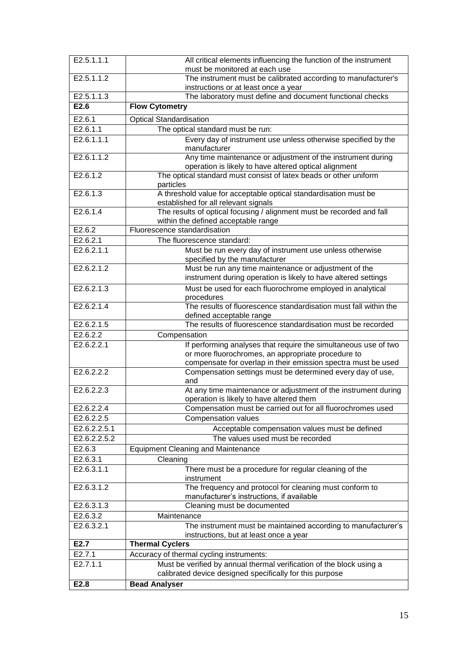| E2.5.1.1.1              | All critical elements influencing the function of the instrument<br>must be monitored at each use                                |
|-------------------------|----------------------------------------------------------------------------------------------------------------------------------|
| E2.5.1.1.2              | The instrument must be calibrated according to manufacturer's                                                                    |
|                         | instructions or at least once a year                                                                                             |
| E2.5.1.1.3              | The laboratory must define and document functional checks                                                                        |
| E2.6                    | <b>Flow Cytometry</b>                                                                                                            |
| E2.6.1                  | <b>Optical Standardisation</b>                                                                                                   |
| E2.6.1.1                | The optical standard must be run:                                                                                                |
| E2.6.1.1.1              | Every day of instrument use unless otherwise specified by the                                                                    |
|                         | manufacturer                                                                                                                     |
| E2.6.1.1.2              | Any time maintenance or adjustment of the instrument during<br>operation is likely to have altered optical alignment             |
| E2.6.1.2                | The optical standard must consist of latex beads or other uniform<br>particles                                                   |
| E2.6.1.3                | A threshold value for acceptable optical standardisation must be<br>established for all relevant signals                         |
| E2.6.1.4                | The results of optical focusing / alignment must be recorded and fall<br>within the defined acceptable range                     |
| E2.6.2                  | Fluorescence standardisation                                                                                                     |
| E2.6.2.1                | The fluorescence standard:                                                                                                       |
| E2.6.2.1.1              | Must be run every day of instrument use unless otherwise<br>specified by the manufacturer                                        |
| E2.6.2.1.2              | Must be run any time maintenance or adjustment of the<br>instrument during operation is likely to have altered settings          |
| E2.6.2.1.3              | Must be used for each fluorochrome employed in analytical                                                                        |
| E2.6.2.1.4              | procedures<br>The results of fluorescence standardisation must fall within the                                                   |
|                         | defined acceptable range                                                                                                         |
| E2.6.2.1.5              | The results of fluorescence standardisation must be recorded                                                                     |
| E2.6.2.2                | Compensation                                                                                                                     |
| E2.6.2.2.1              | If performing analyses that require the simultaneous use of two                                                                  |
|                         | or more fluorochromes, an appropriate procedure to<br>compensate for overlap in their emission spectra must be used              |
| E2.6.2.2.2              | Compensation settings must be determined every day of use,<br>and                                                                |
| E2.6.2.2.3              | At any time maintenance or adjustment of the instrument during                                                                   |
|                         | operation is likely to have altered them                                                                                         |
| E2.6.2.2.4              | Compensation must be carried out for all fluorochromes used                                                                      |
| E2.6.2.2.5              | Compensation values                                                                                                              |
| E2.6.2.2.5.1            | Acceptable compensation values must be defined                                                                                   |
| E2.6.2.2.5.2            | The values used must be recorded                                                                                                 |
| E2.6.3                  | <b>Equipment Cleaning and Maintenance</b>                                                                                        |
| E2.6.3.1                | Cleaning                                                                                                                         |
| $E2.6.\overline{3.1.1}$ | There must be a procedure for regular cleaning of the<br>instrument                                                              |
| E2.6.3.1.2              | The frequency and protocol for cleaning must conform to<br>manufacturer's instructions, if available                             |
| E2.6.3.1.3              | Cleaning must be documented                                                                                                      |
| E2.6.3.2                | Maintenance                                                                                                                      |
| E2.6.3.2.1              | The instrument must be maintained according to manufacturer's<br>instructions, but at least once a year                          |
| E2.7                    | <b>Thermal Cyclers</b>                                                                                                           |
| E2.7.1                  | Accuracy of thermal cycling instruments:                                                                                         |
| E2.7.1.1                | Must be verified by annual thermal verification of the block using a<br>calibrated device designed specifically for this purpose |
| E2.8                    | <b>Bead Analyser</b>                                                                                                             |
|                         |                                                                                                                                  |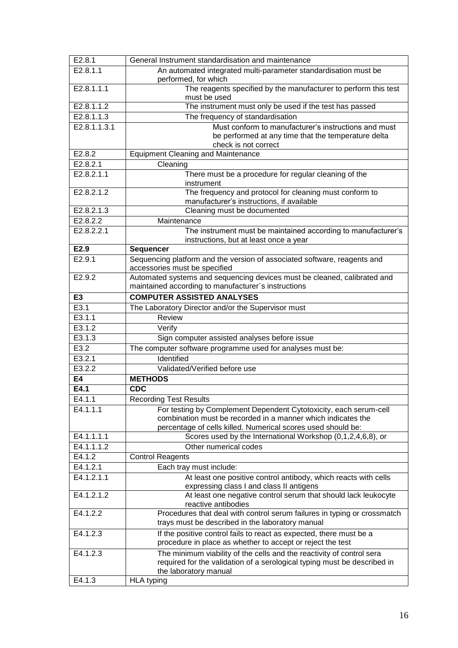| E2.8.1         | General Instrument standardisation and maintenance                                                                             |
|----------------|--------------------------------------------------------------------------------------------------------------------------------|
| E2.8.1.1       | An automated integrated multi-parameter standardisation must be                                                                |
|                | performed, for which                                                                                                           |
| E2.8.1.1.1     | The reagents specified by the manufacturer to perform this test                                                                |
|                | must be used                                                                                                                   |
| E2.8.1.1.2     | The instrument must only be used if the test has passed                                                                        |
| E2.8.1.1.3     | The frequency of standardisation                                                                                               |
| E2.8.1.1.3.1   | Must conform to manufacturer's instructions and must                                                                           |
|                | be performed at any time that the temperature delta<br>check is not correct                                                    |
| E2.8.2         | <b>Equipment Cleaning and Maintenance</b>                                                                                      |
| E2.8.2.1       | Cleaning                                                                                                                       |
| E2.8.2.1.1     | There must be a procedure for regular cleaning of the                                                                          |
|                | instrument                                                                                                                     |
| E2.8.2.1.2     | The frequency and protocol for cleaning must conform to                                                                        |
|                | manufacturer's instructions, if available                                                                                      |
| E2.8.2.1.3     | Cleaning must be documented                                                                                                    |
| E2.8.2.2       | Maintenance                                                                                                                    |
| E2.8.2.2.1     | The instrument must be maintained according to manufacturer's                                                                  |
|                | instructions, but at least once a year                                                                                         |
| E2.9           | Sequencer                                                                                                                      |
| E2.9.1         | Sequencing platform and the version of associated software, reagents and                                                       |
|                | accessories must be specified                                                                                                  |
| E2.9.2         | Automated systems and sequencing devices must be cleaned, calibrated and                                                       |
|                | maintained according to manufacturer's instructions                                                                            |
| E <sub>3</sub> | <b>COMPUTER ASSISTED ANALYSES</b>                                                                                              |
| E3.1           | The Laboratory Director and/or the Supervisor must                                                                             |
| E3.1.1         | Review                                                                                                                         |
| E3.1.2         | Verify                                                                                                                         |
| E3.1.3         | Sign computer assisted analyses before issue                                                                                   |
| E3.2           | The computer software programme used for analyses must be:                                                                     |
| E3.2.1         | Identified                                                                                                                     |
| E3.2.2         | Validated/Verified before use                                                                                                  |
| E4             | <b>METHODS</b>                                                                                                                 |
| E4.1           | <b>CDC</b>                                                                                                                     |
| E4.1.1         | <b>Recording Test Results</b>                                                                                                  |
| E4.1.1.1       | For testing by Complement Dependent Cytotoxicity, each serum-cell                                                              |
|                | combination must be recorded in a manner which indicates the                                                                   |
| E4.1.1.1.1     | percentage of cells killed. Numerical scores used should be:<br>Scores used by the International Workshop $(0,1,2,4,6,8)$ , or |
| E4.1.1.1.2     | Other numerical codes                                                                                                          |
| E4.1.2         | <b>Control Reagents</b>                                                                                                        |
| E4.1.2.1       | Each tray must include:                                                                                                        |
| E4.1.2.1.1     | At least one positive control antibody, which reacts with cells                                                                |
|                | expressing class I and class II antigens                                                                                       |
| E4.1.2.1.2     | At least one negative control serum that should lack leukocyte                                                                 |
|                | reactive antibodies                                                                                                            |
| E4.1.2.2       | Procedures that deal with control serum failures in typing or crossmatch                                                       |
|                | trays must be described in the laboratory manual                                                                               |
| E4.1.2.3       | If the positive control fails to react as expected, there must be a                                                            |
|                | procedure in place as whether to accept or reject the test                                                                     |
| E4.1.2.3       | The minimum viability of the cells and the reactivity of control sera                                                          |
|                | required for the validation of a serological typing must be described in                                                       |
|                | the laboratory manual                                                                                                          |
| E4.1.3         | <b>HLA typing</b>                                                                                                              |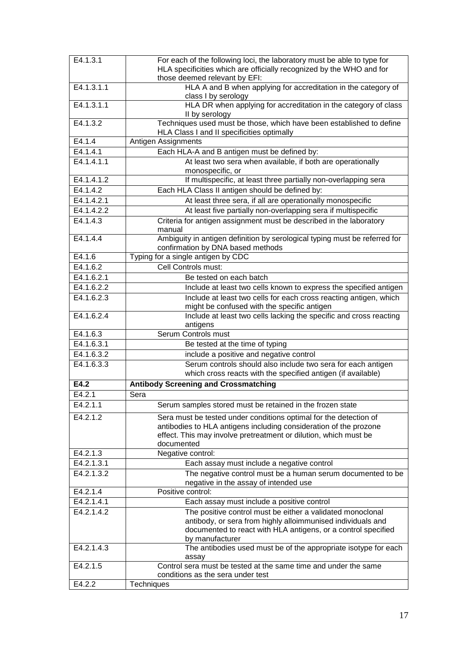| E4.1.3.1   |                                                                            |
|------------|----------------------------------------------------------------------------|
|            | For each of the following loci, the laboratory must be able to type for    |
|            | HLA specificities which are officially recognized by the WHO and for       |
|            | those deemed relevant by EFI:                                              |
| E4.1.3.1.1 | HLA A and B when applying for accreditation in the category of             |
|            | class I by serology                                                        |
| E4.1.3.1.1 | HLA DR when applying for accreditation in the category of class            |
|            | II by serology                                                             |
| E4.1.3.2   | Techniques used must be those, which have been established to define       |
|            | HLA Class I and II specificities optimally                                 |
| E4.1.4     | Antigen Assignments                                                        |
|            |                                                                            |
| E4.1.4.1   | Each HLA-A and B antigen must be defined by:                               |
| E4.1.4.1.1 | At least two sera when available, if both are operationally                |
|            | monospecific, or                                                           |
| E4.1.4.1.2 | If multispecific, at least three partially non-overlapping sera            |
| E4.1.4.2   | Each HLA Class II antigen should be defined by:                            |
| E4.1.4.2.1 | At least three sera, if all are operationally monospecific                 |
|            |                                                                            |
| E4.1.4.2.2 | At least five partially non-overlapping sera if multispecific              |
| E4.1.4.3   | Criteria for antigen assignment must be described in the laboratory        |
|            | manual                                                                     |
| E4.1.4.4   | Ambiguity in antigen definition by serological typing must be referred for |
|            | confirmation by DNA based methods                                          |
| E4.1.6     | Typing for a single antigen by CDC                                         |
| E4.1.6.2   | Cell Controls must:                                                        |
|            |                                                                            |
| E4.1.6.2.1 | Be tested on each batch                                                    |
| E4.1.6.2.2 | Include at least two cells known to express the specified antigen          |
| E4.1.6.2.3 | Include at least two cells for each cross reacting antigen, which          |
|            | might be confused with the specific antigen                                |
| E4.1.6.2.4 | Include at least two cells lacking the specific and cross reacting         |
|            | antigens                                                                   |
| E4.1.6.3   | Serum Controls must                                                        |
| E4.1.6.3.1 | Be tested at the time of typing                                            |
|            |                                                                            |
| E4.1.6.3.2 | include a positive and negative control                                    |
| E4.1.6.3.3 | Serum controls should also include two sera for each antigen               |
|            | which cross reacts with the specified antigen (if available)               |
| E4.2       | <b>Antibody Screening and Crossmatching</b>                                |
| E4.2.1     | Sera                                                                       |
| E4.2.1.1   |                                                                            |
|            | Serum samples stored must be retained in the frozen state                  |
| E4.2.1.2   | Sera must be tested under conditions optimal for the detection of          |
|            | antibodies to HLA antigens including consideration of the prozone          |
|            | effect. This may involve pretreatment or dilution, which must be           |
|            | documented                                                                 |
| E4.2.1.3   | Negative control:                                                          |
| E4.2.1.3.1 | Each assay must include a negative control                                 |
|            |                                                                            |
| E4.2.1.3.2 | The negative control must be a human serum documented to be                |
|            | negative in the assay of intended use                                      |
| E4.2.1.4   | Positive control:                                                          |
| E4.2.1.4.1 | Each assay must include a positive control                                 |
| E4.2.1.4.2 | The positive control must be either a validated monoclonal                 |
|            | antibody, or sera from highly alloimmunised individuals and                |
|            | documented to react with HLA antigens, or a control specified              |
|            | by manufacturer                                                            |
| E4.2.1.4.3 | The antibodies used must be of the appropriate isotype for each            |
|            |                                                                            |
|            | assay                                                                      |
| E4.2.1.5   | Control sera must be tested at the same time and under the same            |
|            | conditions as the sera under test                                          |
| E4.2.2     | Techniques                                                                 |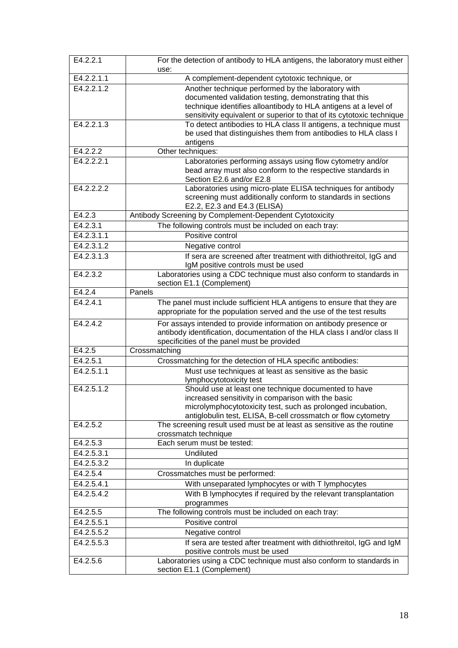| E4.2.2.1   | For the detection of antibody to HLA antigens, the laboratory must either<br>use:                                        |
|------------|--------------------------------------------------------------------------------------------------------------------------|
| E4.2.2.1.1 | A complement-dependent cytotoxic technique, or                                                                           |
| E4.2.2.1.2 | Another technique performed by the laboratory with                                                                       |
|            | documented validation testing, demonstrating that this                                                                   |
|            | technique identifies alloantibody to HLA antigens at a level of                                                          |
|            | sensitivity equivalent or superior to that of its cytotoxic technique                                                    |
| E4.2.2.1.3 | To detect antibodies to HLA class II antigens, a technique must                                                          |
|            | be used that distinguishes them from antibodies to HLA class I<br>antigens                                               |
| E4.2.2.2   | Other techniques:                                                                                                        |
| E4.2.2.2.1 | Laboratories performing assays using flow cytometry and/or                                                               |
|            | bead array must also conform to the respective standards in                                                              |
|            | Section E2.6 and/or E2.8                                                                                                 |
| E4.2.2.2.2 | Laboratories using micro-plate ELISA techniques for antibody                                                             |
|            | screening must additionally conform to standards in sections<br>E2.2, E2.3 and E4.3 (ELISA)                              |
| E4.2.3     | Antibody Screening by Complement-Dependent Cytotoxicity                                                                  |
| E4.2.3.1   | The following controls must be included on each tray:                                                                    |
| E4.2.3.1.1 | Positive control                                                                                                         |
| E4.2.3.1.2 | Negative control                                                                                                         |
| E4.2.3.1.3 | If sera are screened after treatment with dithiothreitol, IgG and                                                        |
|            | IgM positive controls must be used                                                                                       |
| E4.2.3.2   | Laboratories using a CDC technique must also conform to standards in                                                     |
| E4.2.4     | section E1.1 (Complement)<br>Panels                                                                                      |
| E4.2.4.1   | The panel must include sufficient HLA antigens to ensure that they are                                                   |
|            | appropriate for the population served and the use of the test results                                                    |
| E4.2.4.2   | For assays intended to provide information on antibody presence or                                                       |
|            | antibody identification, documentation of the HLA class I and/or class II<br>specificities of the panel must be provided |
| E4.2.5     | Crossmatching                                                                                                            |
| E4.2.5.1   | Crossmatching for the detection of HLA specific antibodies:                                                              |
| E4.2.5.1.1 | Must use techniques at least as sensitive as the basic                                                                   |
|            | lymphocytotoxicity test                                                                                                  |
| E4.2.5.1.2 | Should use at least one technique documented to have                                                                     |
|            | increased sensitivity in comparison with the basic<br>microlymphocytotoxicity test, such as prolonged incubation,        |
|            | antiglobulin test, ELISA, B-cell crossmatch or flow cytometry                                                            |
| E4.2.5.2   | The screening result used must be at least as sensitive as the routine                                                   |
|            | crossmatch technique                                                                                                     |
| E4.2.5.3   | Each serum must be tested:                                                                                               |
| E4.2.5.3.1 | <b>Undiluted</b>                                                                                                         |
| E4.2.5.3.2 | In duplicate                                                                                                             |
| E4.2.5.4   | Crossmatches must be performed:                                                                                          |
| E4.2.5.4.1 | With unseparated lymphocytes or with T lymphocytes                                                                       |
| E4.2.5.4.2 | With B lymphocytes if required by the relevant transplantation<br>programmes                                             |
| E4.2.5.5   | The following controls must be included on each tray:                                                                    |
| E4.2.5.5.1 | Positive control                                                                                                         |
| E4.2.5.5.2 | Negative control                                                                                                         |
| E4.2.5.5.3 | If sera are tested after treatment with dithiothreitol, IgG and IgM<br>positive controls must be used                    |
| E4.2.5.6   | Laboratories using a CDC technique must also conform to standards in<br>section E1.1 (Complement)                        |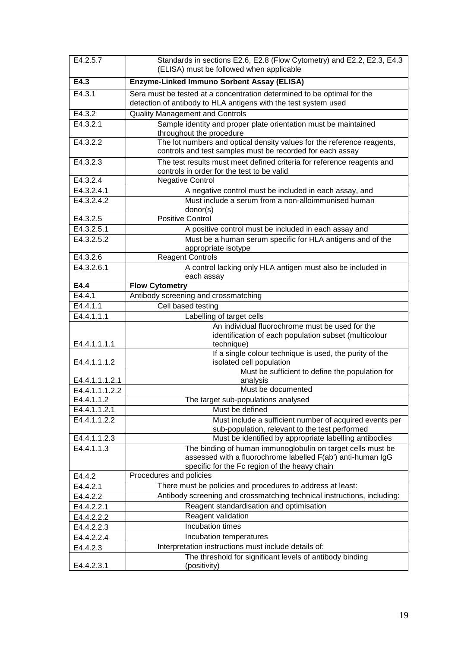| E4.2.5.7       | Standards in sections E2.6, E2.8 (Flow Cytometry) and E2.2, E2.3, E4.3<br>(ELISA) must be followed when applicable                         |
|----------------|--------------------------------------------------------------------------------------------------------------------------------------------|
| E4.3           | Enzyme-Linked Immuno Sorbent Assay (ELISA)                                                                                                 |
| E4.3.1         | Sera must be tested at a concentration determined to be optimal for the<br>detection of antibody to HLA antigens with the test system used |
| E4.3.2         | <b>Quality Management and Controls</b>                                                                                                     |
| E4.3.2.1       | Sample identity and proper plate orientation must be maintained<br>throughout the procedure                                                |
| E4.3.2.2       | The lot numbers and optical density values for the reference reagents,<br>controls and test samples must be recorded for each assay        |
| E4.3.2.3       | The test results must meet defined criteria for reference reagents and<br>controls in order for the test to be valid                       |
| E4.3.2.4       | <b>Negative Control</b>                                                                                                                    |
| E4.3.2.4.1     | A negative control must be included in each assay, and                                                                                     |
| E4.3.2.4.2     | Must include a serum from a non-alloimmunised human<br>donor(s)                                                                            |
| E4.3.2.5       | <b>Positive Control</b>                                                                                                                    |
| E4.3.2.5.1     | A positive control must be included in each assay and                                                                                      |
| E4.3.2.5.2     | Must be a human serum specific for HLA antigens and of the<br>appropriate isotype                                                          |
| E4.3.2.6       | <b>Reagent Controls</b>                                                                                                                    |
| E4.3.2.6.1     | A control lacking only HLA antigen must also be included in<br>each assay                                                                  |
| E4.4           | <b>Flow Cytometry</b>                                                                                                                      |
| E4.4.1         | Antibody screening and crossmatching                                                                                                       |
| E4.4.1.1       | Cell based testing                                                                                                                         |
| E4.4.1.1.1     | Labelling of target cells                                                                                                                  |
| E4.4.1.1.1.1   | An individual fluorochrome must be used for the<br>identification of each population subset (multicolour<br>technique)                     |
| E4.4.1.1.1.2   | If a single colour technique is used, the purity of the<br>isolated cell population                                                        |
| E4.4.1.1.1.2.1 | Must be sufficient to define the population for<br>analysis                                                                                |
| E4.4.1.1.1.2.2 | Must be documented                                                                                                                         |
| E4.4.1.1.2     | The target sub-populations analysed                                                                                                        |
| E4.4.1.1.2.1   | Must be defined                                                                                                                            |
| E4.4.1.1.2.2   | Must include a sufficient number of acquired events per                                                                                    |
| E4.4.1.1.2.3   | sub-population, relevant to the test performed<br>Must be identified by appropriate labelling antibodies                                   |
| E4.4.1.1.3     | The binding of human immunoglobulin on target cells must be                                                                                |
|                | assessed with a fluorochrome labelled F(ab') anti-human IgG<br>specific for the Fc region of the heavy chain                               |
| E4.4.2         | Procedures and policies                                                                                                                    |
| E4.4.2.1       | There must be policies and procedures to address at least:                                                                                 |
| E4.4.2.2       | Antibody screening and crossmatching technical instructions, including:                                                                    |
| E4.4.2.2.1     | Reagent standardisation and optimisation                                                                                                   |
| E4.4.2.2.2     | Reagent validation                                                                                                                         |
| E4.4.2.2.3     | Incubation times                                                                                                                           |
| E4.4.2.2.4     | Incubation temperatures                                                                                                                    |
| E4.4.2.3       | Interpretation instructions must include details of:                                                                                       |
|                | The threshold for significant levels of antibody binding                                                                                   |
| E4.4.2.3.1     | (positivity)                                                                                                                               |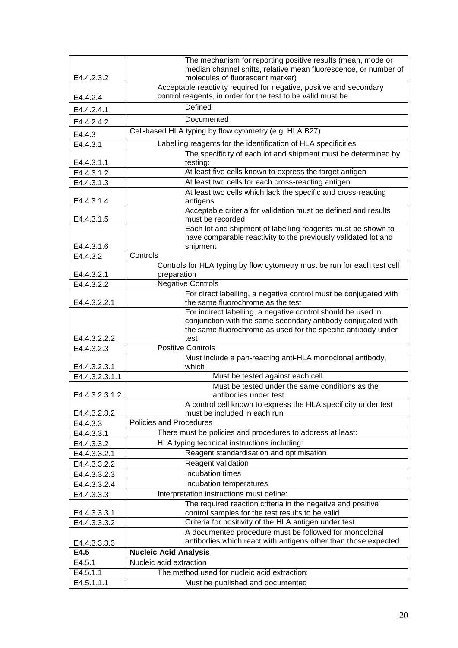|                            | The mechanism for reporting positive results (mean, mode or                                                              |
|----------------------------|--------------------------------------------------------------------------------------------------------------------------|
| E4.4.2.3.2                 | median channel shifts, relative mean fluorescence, or number of                                                          |
|                            | molecules of fluorescent marker)<br>Acceptable reactivity required for negative, positive and secondary                  |
| E4.4.2.4                   | control reagents, in order for the test to be valid must be                                                              |
| E4.4.2.4.1                 | Defined                                                                                                                  |
| E4.4.2.4.2                 | Documented                                                                                                               |
| E4.4.3                     | Cell-based HLA typing by flow cytometry (e.g. HLA B27)                                                                   |
| E4.4.3.1                   | Labelling reagents for the identification of HLA specificities                                                           |
|                            | The specificity of each lot and shipment must be determined by                                                           |
| E4.4.3.1.1                 | testing:                                                                                                                 |
| E4.4.3.1.2                 | At least five cells known to express the target antigen                                                                  |
| E4.4.3.1.3                 | At least two cells for each cross-reacting antigen                                                                       |
| E4.4.3.1.4                 | At least two cells which lack the specific and cross-reacting                                                            |
|                            | antigens<br>Acceptable criteria for validation must be defined and results                                               |
| E4.4.3.1.5                 | must be recorded                                                                                                         |
|                            | Each lot and shipment of labelling reagents must be shown to                                                             |
|                            | have comparable reactivity to the previously validated lot and                                                           |
| E4.4.3.1.6                 | shipment                                                                                                                 |
| E4.4.3.2                   | Controls                                                                                                                 |
| E4.4.3.2.1                 | Controls for HLA typing by flow cytometry must be run for each test cell<br>preparation                                  |
| E4.4.3.2.2                 | <b>Negative Controls</b>                                                                                                 |
|                            | For direct labelling, a negative control must be conjugated with                                                         |
| E4.4.3.2.2.1               | the same fluorochrome as the test                                                                                        |
|                            | For indirect labelling, a negative control should be used in                                                             |
|                            | conjunction with the same secondary antibody conjugated with                                                             |
|                            | the same fluorochrome as used for the specific antibody under                                                            |
| E4.4.3.2.2.2<br>E4.4.3.2.3 | test<br><b>Positive Controls</b>                                                                                         |
|                            | Must include a pan-reacting anti-HLA monoclonal antibody,                                                                |
| E4.4.3.2.3.1               | which                                                                                                                    |
| E4.4.3.2.3.1.1             | Must be tested against each cell                                                                                         |
|                            | Must be tested under the same conditions as the                                                                          |
| E4.4.3.2.3.1.2             | antibodies under test<br>A control cell known to express the HLA specificity under test                                  |
| E4.4.3.2.3.2               | must be included in each run                                                                                             |
| E4.4.3.3                   | <b>Policies and Procedures</b>                                                                                           |
| E4.4.3.3.1                 | There must be policies and procedures to address at least:                                                               |
| E4.4.3.3.2                 | HLA typing technical instructions including:                                                                             |
| E4.4.3.3.2.1               | Reagent standardisation and optimisation                                                                                 |
| E4.4.3.3.2.2               | Reagent validation                                                                                                       |
| E4.4.3.3.2.3               | Incubation times                                                                                                         |
| E4.4.3.3.2.4               | Incubation temperatures                                                                                                  |
| E4.4.3.3.3                 | Interpretation instructions must define:                                                                                 |
|                            | The required reaction criteria in the negative and positive                                                              |
| E4.4.3.3.3.1               | control samples for the test results to be valid                                                                         |
| E4.4.3.3.3.2               | Criteria for positivity of the HLA antigen under test                                                                    |
|                            | A documented procedure must be followed for monoclonal<br>antibodies which react with antigens other than those expected |
| E4.4.3.3.3.3<br>E4.5       | <b>Nucleic Acid Analysis</b>                                                                                             |
| E4.5.1                     | Nucleic acid extraction                                                                                                  |
| E4.5.1.1                   | The method used for nucleic acid extraction:                                                                             |
| E4.5.1.1.1                 | Must be published and documented                                                                                         |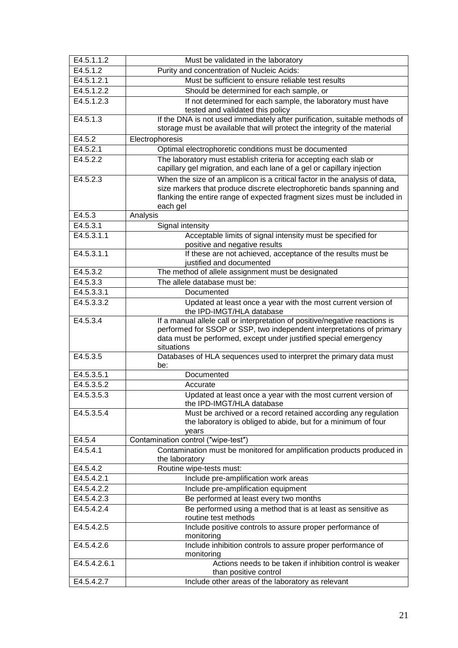| E4.5.1.1.2   | Must be validated in the laboratory                                                                                                                                                                                                    |
|--------------|----------------------------------------------------------------------------------------------------------------------------------------------------------------------------------------------------------------------------------------|
| E4.5.1.2     | Purity and concentration of Nucleic Acids:                                                                                                                                                                                             |
| E4.5.1.2.1   | Must be sufficient to ensure reliable test results                                                                                                                                                                                     |
| E4.5.1.2.2   | Should be determined for each sample, or                                                                                                                                                                                               |
| E4.5.1.2.3   | If not determined for each sample, the laboratory must have                                                                                                                                                                            |
|              | tested and validated this policy                                                                                                                                                                                                       |
| E4.5.1.3     | If the DNA is not used immediately after purification, suitable methods of                                                                                                                                                             |
|              | storage must be available that will protect the integrity of the material                                                                                                                                                              |
| E4.5.2       | Electrophoresis                                                                                                                                                                                                                        |
| E4.5.2.1     | Optimal electrophoretic conditions must be documented                                                                                                                                                                                  |
| E4.5.2.2     | The laboratory must establish criteria for accepting each slab or<br>capillary gel migration, and each lane of a gel or capillary injection                                                                                            |
| E4.5.2.3     | When the size of an amplicon is a critical factor in the analysis of data,<br>size markers that produce discrete electrophoretic bands spanning and<br>flanking the entire range of expected fragment sizes must be included in        |
|              | each gel                                                                                                                                                                                                                               |
| E4.5.3       | Analysis                                                                                                                                                                                                                               |
| E4.5.3.1     | Signal intensity                                                                                                                                                                                                                       |
| E4.5.3.1.1   | Acceptable limits of signal intensity must be specified for<br>positive and negative results                                                                                                                                           |
| E4.5.3.1.1   | If these are not achieved, acceptance of the results must be                                                                                                                                                                           |
| E4.5.3.2     | justified and documented<br>The method of allele assignment must be designated                                                                                                                                                         |
| E4.5.3.3     | The allele database must be:                                                                                                                                                                                                           |
| E4.5.3.3.1   | Documented                                                                                                                                                                                                                             |
| E4.5.3.3.2   | Updated at least once a year with the most current version of                                                                                                                                                                          |
|              | the IPD-IMGT/HLA database                                                                                                                                                                                                              |
| E4.5.3.4     | If a manual allele call or interpretation of positive/negative reactions is<br>performed for SSOP or SSP, two independent interpretations of primary<br>data must be performed, except under justified special emergency<br>situations |
| E4.5.3.5     | Databases of HLA sequences used to interpret the primary data must<br>be:                                                                                                                                                              |
| E4.5.3.5.1   | Documented                                                                                                                                                                                                                             |
| E4.5.3.5.2   | Accurate                                                                                                                                                                                                                               |
| E4.5.3.5.3   | Updated at least once a year with the most current version of<br>the IPD-IMGT/HLA database                                                                                                                                             |
| E4.5.3.5.4   | Must be archived or a record retained according any regulation<br>the laboratory is obliged to abide, but for a minimum of four<br>years                                                                                               |
| E4.5.4       | Contamination control ("wipe-test")                                                                                                                                                                                                    |
| E4.5.4.1     | Contamination must be monitored for amplification products produced in<br>the laboratory                                                                                                                                               |
| E4.5.4.2     | Routine wipe-tests must:                                                                                                                                                                                                               |
| E4.5.4.2.1   | Include pre-amplification work areas                                                                                                                                                                                                   |
| E4.5.4.2.2   | Include pre-amplification equipment                                                                                                                                                                                                    |
| E4.5.4.2.3   | Be performed at least every two months                                                                                                                                                                                                 |
| E4.5.4.2.4   | Be performed using a method that is at least as sensitive as<br>routine test methods                                                                                                                                                   |
| E4.5.4.2.5   | Include positive controls to assure proper performance of<br>monitoring                                                                                                                                                                |
| E4.5.4.2.6   | Include inhibition controls to assure proper performance of<br>monitoring                                                                                                                                                              |
| E4.5.4.2.6.1 | Actions needs to be taken if inhibition control is weaker<br>than positive control                                                                                                                                                     |
| E4.5.4.2.7   | Include other areas of the laboratory as relevant                                                                                                                                                                                      |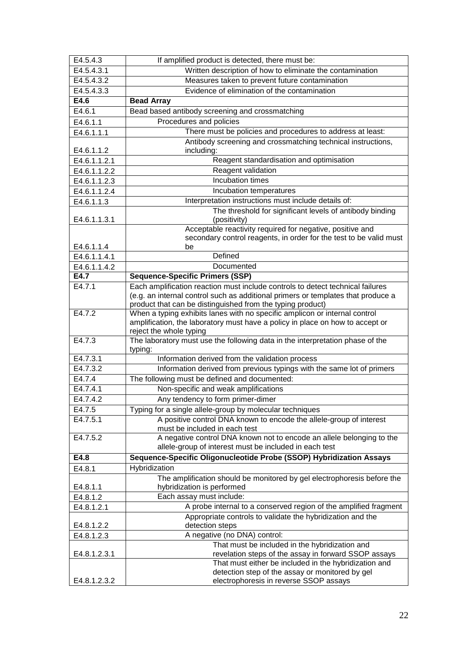| E4.5.4.3                   | If amplified product is detected, there must be:                                                                                |
|----------------------------|---------------------------------------------------------------------------------------------------------------------------------|
| E4.5.4.3.1                 | Written description of how to eliminate the contamination                                                                       |
| $\overline{E4.5.4.3.2}$    | Measures taken to prevent future contamination                                                                                  |
| E4.5.4.3.3                 | Evidence of elimination of the contamination                                                                                    |
| E4.6                       | <b>Bead Array</b>                                                                                                               |
| E4.6.1                     | Bead based antibody screening and crossmatching                                                                                 |
| E4.6.1.1                   | Procedures and policies                                                                                                         |
| E4.6.1.1.1                 | There must be policies and procedures to address at least:                                                                      |
|                            | Antibody screening and crossmatching technical instructions,                                                                    |
| E4.6.1.1.2                 | including:                                                                                                                      |
| E4.6.1.1.2.1               | Reagent standardisation and optimisation                                                                                        |
| E4.6.1.1.2.2               | Reagent validation                                                                                                              |
| E4.6.1.1.2.3               | Incubation times                                                                                                                |
| E4.6.1.1.2.4               | Incubation temperatures                                                                                                         |
| E4.6.1.1.3                 | Interpretation instructions must include details of:                                                                            |
|                            | The threshold for significant levels of antibody binding                                                                        |
| E4.6.1.1.3.1               | (positivity)                                                                                                                    |
|                            | Acceptable reactivity required for negative, positive and                                                                       |
|                            | secondary control reagents, in order for the test to be valid must                                                              |
| E4.6.1.1.4<br>E4.6.1.1.4.1 | be<br>Defined                                                                                                                   |
| E4.6.1.1.4.2               | Documented                                                                                                                      |
| E4.7                       | <b>Sequence-Specific Primers (SSP)</b>                                                                                          |
| E4.7.1                     | Each amplification reaction must include controls to detect technical failures                                                  |
|                            | (e.g. an internal control such as additional primers or templates that produce a                                                |
|                            | product that can be distinguished from the typing product)                                                                      |
| E4.7.2                     | When a typing exhibits lanes with no specific amplicon or internal control                                                      |
|                            | amplification, the laboratory must have a policy in place on how to accept or                                                   |
|                            | reject the whole typing                                                                                                         |
| E4.7.3                     | The laboratory must use the following data in the interpretation phase of the                                                   |
| E4.7.3.1                   | typing:<br>Information derived from the validation process                                                                      |
| E4.7.3.2                   |                                                                                                                                 |
| E4.7.4                     | Information derived from previous typings with the same lot of primers<br>The following must be defined and documented:         |
| E4.7.4.1                   |                                                                                                                                 |
| E4.7.4.2                   | Non-specific and weak amplifications                                                                                            |
| E4.7.5                     | Any tendency to form primer-dimer                                                                                               |
| E4.7.5.1                   | Typing for a single allele-group by molecular techniques<br>A positive control DNA known to encode the allele-group of interest |
|                            | must be included in each test                                                                                                   |
| E4.7.5.2                   | A negative control DNA known not to encode an allele belonging to the                                                           |
|                            | allele-group of interest must be included in each test                                                                          |
| E4.8                       | Sequence-Specific Oligonucleotide Probe (SSOP) Hybridization Assays                                                             |
| E4.8.1                     | Hybridization                                                                                                                   |
|                            | The amplification should be monitored by gel electrophoresis before the                                                         |
| E4.8.1.1                   | hybridization is performed                                                                                                      |
| E4.8.1.2                   | Each assay must include:                                                                                                        |
| E4.8.1.2.1                 | A probe internal to a conserved region of the amplified fragment                                                                |
|                            | Appropriate controls to validate the hybridization and the                                                                      |
| E4.8.1.2.2                 | detection steps                                                                                                                 |
| E4.8.1.2.3                 | A negative (no DNA) control:                                                                                                    |
|                            | That must be included in the hybridization and                                                                                  |
| E4.8.1.2.3.1               | revelation steps of the assay in forward SSOP assays                                                                            |
|                            | That must either be included in the hybridization and<br>detection step of the assay or monitored by gel                        |
| E4.8.1.2.3.2               | electrophoresis in reverse SSOP assays                                                                                          |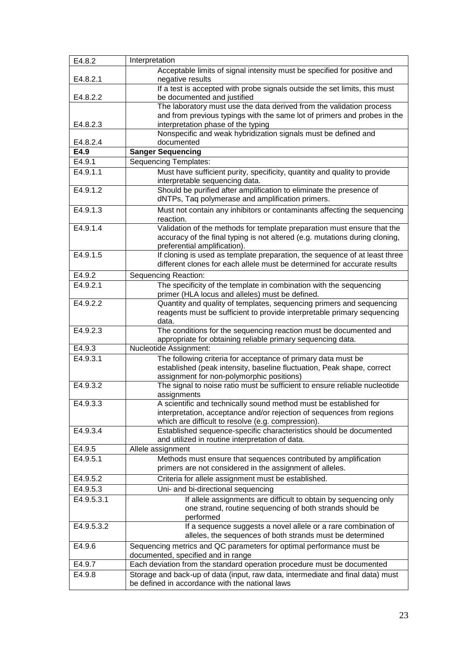| E4.8.2     | Interpretation                                                                                                                                                                                   |
|------------|--------------------------------------------------------------------------------------------------------------------------------------------------------------------------------------------------|
| E4.8.2.1   | Acceptable limits of signal intensity must be specified for positive and<br>negative results                                                                                                     |
| E4.8.2.2   | If a test is accepted with probe signals outside the set limits, this must<br>be documented and justified                                                                                        |
| E4.8.2.3   | The laboratory must use the data derived from the validation process<br>and from previous typings with the same lot of primers and probes in the<br>interpretation phase of the typing           |
| E4.8.2.4   | Nonspecific and weak hybridization signals must be defined and<br>documented                                                                                                                     |
| E4.9       | <b>Sanger Sequencing</b>                                                                                                                                                                         |
| E4.9.1     | <b>Sequencing Templates:</b>                                                                                                                                                                     |
| E4.9.1.1   | Must have sufficient purity, specificity, quantity and quality to provide<br>interpretable sequencing data.                                                                                      |
| E4.9.1.2   | Should be purified after amplification to eliminate the presence of<br>dNTPs, Taq polymerase and amplification primers.                                                                          |
| E4.9.1.3   | Must not contain any inhibitors or contaminants affecting the sequencing<br>reaction.                                                                                                            |
| E4.9.1.4   | Validation of the methods for template preparation must ensure that the<br>accuracy of the final typing is not altered (e.g. mutations during cloning,<br>preferential amplification).           |
| E4.9.1.5   | If cloning is used as template preparation, the sequence of at least three<br>different clones for each allele must be determined for accurate results                                           |
| E4.9.2     | Sequencing Reaction:                                                                                                                                                                             |
| E4.9.2.1   | The specificity of the template in combination with the sequencing<br>primer (HLA locus and alleles) must be defined.                                                                            |
| E4.9.2.2   | Quantity and quality of templates, sequencing primers and sequencing<br>reagents must be sufficient to provide interpretable primary sequencing<br>data.                                         |
| E4.9.2.3   | The conditions for the sequencing reaction must be documented and<br>appropriate for obtaining reliable primary sequencing data.                                                                 |
| E4.9.3     | Nucleotide Assignment:                                                                                                                                                                           |
| E4.9.3.1   | The following criteria for acceptance of primary data must be<br>established (peak intensity, baseline fluctuation, Peak shape, correct<br>assignment for non-polymorphic positions)             |
| E4.9.3.2   | The signal to noise ratio must be sufficient to ensure reliable nucleotide<br>assignments                                                                                                        |
| E4.9.3.3   | A scientific and technically sound method must be established for<br>interpretation, acceptance and/or rejection of sequences from regions<br>which are difficult to resolve (e.g. compression). |
| E4.9.3.4   | Established sequence-specific characteristics should be documented<br>and utilized in routine interpretation of data.                                                                            |
| E4.9.5     | Allele assignment                                                                                                                                                                                |
| E4.9.5.1   | Methods must ensure that sequences contributed by amplification<br>primers are not considered in the assignment of alleles.                                                                      |
| E4.9.5.2   | Criteria for allele assignment must be established.                                                                                                                                              |
| E4.9.5.3   | Uni- and bi-directional sequencing                                                                                                                                                               |
| E4.9.5.3.1 | If allele assignments are difficult to obtain by sequencing only<br>one strand, routine sequencing of both strands should be<br>performed                                                        |
| E4.9.5.3.2 | If a sequence suggests a novel allele or a rare combination of<br>alleles, the sequences of both strands must be determined                                                                      |
| E4.9.6     | Sequencing metrics and QC parameters for optimal performance must be<br>documented, specified and in range                                                                                       |
| E4.9.7     | Each deviation from the standard operation procedure must be documented                                                                                                                          |
| E4.9.8     | Storage and back-up of data (input, raw data, intermediate and final data) must<br>be defined in accordance with the national laws                                                               |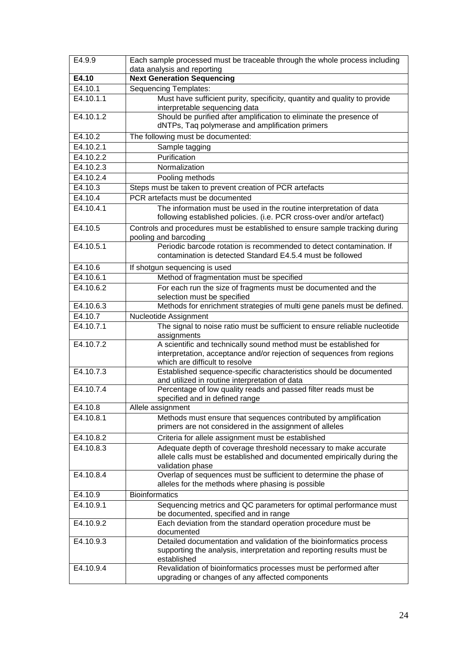| E4.9.9             | Each sample processed must be traceable through the whole process including<br>data analysis and reporting                                                                   |
|--------------------|------------------------------------------------------------------------------------------------------------------------------------------------------------------------------|
| $\overline{E4.10}$ | <b>Next Generation Sequencing</b>                                                                                                                                            |
| E4.10.1            | <b>Sequencing Templates:</b>                                                                                                                                                 |
| E4.10.1.1          | Must have sufficient purity, specificity, quantity and quality to provide<br>interpretable sequencing data                                                                   |
| E4.10.1.2          | Should be purified after amplification to eliminate the presence of<br>dNTPs, Taq polymerase and amplification primers                                                       |
| E4.10.2            | The following must be documented:                                                                                                                                            |
| E4.10.2.1          | Sample tagging                                                                                                                                                               |
| E4.10.2.2          | Purification                                                                                                                                                                 |
| E4.10.2.3          | Normalization                                                                                                                                                                |
| E4.10.2.4          | Pooling methods                                                                                                                                                              |
| E4.10.3            | Steps must be taken to prevent creation of PCR artefacts                                                                                                                     |
| E4.10.4            | PCR artefacts must be documented                                                                                                                                             |
| E4.10.4.1          | The information must be used in the routine interpretation of data                                                                                                           |
|                    | following established policies. (i.e. PCR cross-over and/or artefact)                                                                                                        |
| E4.10.5            | Controls and procedures must be established to ensure sample tracking during<br>pooling and barcoding                                                                        |
| E4.10.5.1          | Periodic barcode rotation is recommended to detect contamination. If<br>contamination is detected Standard E4.5.4 must be followed                                           |
| E4.10.6            | If shotgun sequencing is used                                                                                                                                                |
| E4.10.6.1          | Method of fragmentation must be specified                                                                                                                                    |
| E4.10.6.2          | For each run the size of fragments must be documented and the<br>selection must be specified                                                                                 |
| E4.10.6.3          | Methods for enrichment strategies of multi gene panels must be defined.                                                                                                      |
| E4.10.7            | Nucleotide Assignment                                                                                                                                                        |
| E4.10.7.1          | The signal to noise ratio must be sufficient to ensure reliable nucleotide<br>assignments                                                                                    |
| E4.10.7.2          | A scientific and technically sound method must be established for<br>interpretation, acceptance and/or rejection of sequences from regions<br>which are difficult to resolve |
| E4.10.7.3          | Established sequence-specific characteristics should be documented<br>and utilized in routine interpretation of data                                                         |
| E4.10.7.4          | Percentage of low quality reads and passed filter reads must be<br>specified and in defined range                                                                            |
| E4.10.8            | Allele assignment                                                                                                                                                            |
| E4.10.8.1          | Methods must ensure that sequences contributed by amplification<br>primers are not considered in the assignment of alleles                                                   |
| E4.10.8.2          | Criteria for allele assignment must be established                                                                                                                           |
| E4.10.8.3          | Adequate depth of coverage threshold necessary to make accurate<br>allele calls must be established and documented empirically during the<br>validation phase                |
| E4.10.8.4          | Overlap of sequences must be sufficient to determine the phase of<br>alleles for the methods where phasing is possible                                                       |
| E4.10.9            | <b>Bioinformatics</b>                                                                                                                                                        |
| E4.10.9.1          | Sequencing metrics and QC parameters for optimal performance must<br>be documented, specified and in range                                                                   |
| E4.10.9.2          | Each deviation from the standard operation procedure must be<br>documented                                                                                                   |
| E4.10.9.3          | Detailed documentation and validation of the bioinformatics process<br>supporting the analysis, interpretation and reporting results must be<br>established                  |
| E4.10.9.4          | Revalidation of bioinformatics processes must be performed after<br>upgrading or changes of any affected components                                                          |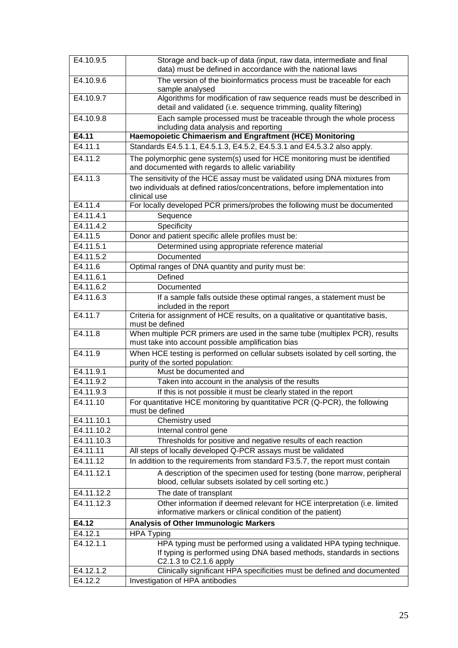| E4.10.9.5  | Storage and back-up of data (input, raw data, intermediate and final<br>data) must be defined in accordance with the national laws                                         |
|------------|----------------------------------------------------------------------------------------------------------------------------------------------------------------------------|
| E4.10.9.6  | The version of the bioinformatics process must be traceable for each<br>sample analysed                                                                                    |
| E4.10.9.7  | Algorithms for modification of raw sequence reads must be described in<br>detail and validated (i.e. sequence trimming, quality filtering)                                 |
| E4.10.9.8  | Each sample processed must be traceable through the whole process<br>including data analysis and reporting                                                                 |
| E4.11      | Haemopoietic Chimaerism and Engraftment (HCE) Monitoring                                                                                                                   |
| E4.11.1    | Standards E4.5.1.1, E4.5.1.3, E4.5.2, E4.5.3.1 and E4.5.3.2 also apply.                                                                                                    |
| E4.11.2    | The polymorphic gene system(s) used for HCE monitoring must be identified<br>and documented with regards to allelic variability                                            |
| E4.11.3    | The sensitivity of the HCE assay must be validated using DNA mixtures from<br>two individuals at defined ratios/concentrations, before implementation into<br>clinical use |
| E4.11.4    | For locally developed PCR primers/probes the following must be documented                                                                                                  |
| E4.11.4.1  | Sequence                                                                                                                                                                   |
| E4.11.4.2  | Specificity                                                                                                                                                                |
| E4.11.5    | Donor and patient specific allele profiles must be:                                                                                                                        |
| E4.11.5.1  | Determined using appropriate reference material                                                                                                                            |
| E4.11.5.2  | Documented                                                                                                                                                                 |
| E4.11.6    | Optimal ranges of DNA quantity and purity must be:                                                                                                                         |
| E4.11.6.1  | Defined                                                                                                                                                                    |
| E4.11.6.2  | Documented                                                                                                                                                                 |
| E4.11.6.3  | If a sample falls outside these optimal ranges, a statement must be<br>included in the report                                                                              |
| E4.11.7    | Criteria for assignment of HCE results, on a qualitative or quantitative basis,<br>must be defined                                                                         |
| E4.11.8    | When multiple PCR primers are used in the same tube (multiplex PCR), results<br>must take into account possible amplification bias                                         |
| E4.11.9    | When HCE testing is performed on cellular subsets isolated by cell sorting, the<br>purity of the sorted population:                                                        |
| E4.11.9.1  | Must be documented and                                                                                                                                                     |
| E4.11.9.2  | Taken into account in the analysis of the results                                                                                                                          |
| E4.11.9.3  | If this is not possible it must be clearly stated in the report                                                                                                            |
| E4.11.10   | For quantitative HCE monitoring by quantitative PCR (Q-PCR), the following<br>must be defined                                                                              |
| E4.11.10.1 | Chemistry used                                                                                                                                                             |
| E4.11.10.2 | Internal control gene                                                                                                                                                      |
| E4.11.10.3 | Thresholds for positive and negative results of each reaction                                                                                                              |
| E4.11.11   | All steps of locally developed Q-PCR assays must be validated                                                                                                              |
| E4.11.12   | In addition to the requirements from standard F3.5.7, the report must contain                                                                                              |
| E4.11.12.1 | A description of the specimen used for testing (bone marrow, peripheral<br>blood, cellular subsets isolated by cell sorting etc.)                                          |
| E4.11.12.2 | The date of transplant                                                                                                                                                     |
| E4.11.12.3 | Other information if deemed relevant for HCE interpretation (i.e. limited<br>informative markers or clinical condition of the patient)                                     |
| E4.12      | <b>Analysis of Other Immunologic Markers</b>                                                                                                                               |
| E4.12.1    | <b>HPA Typing</b>                                                                                                                                                          |
| E4.12.1.1  | HPA typing must be performed using a validated HPA typing technique.                                                                                                       |
|            | If typing is performed using DNA based methods, standards in sections<br>C2.1.3 to C2.1.6 apply                                                                            |
| E4.12.1.2  | Clinically significant HPA specificities must be defined and documented                                                                                                    |
| E4.12.2    | Investigation of HPA antibodies                                                                                                                                            |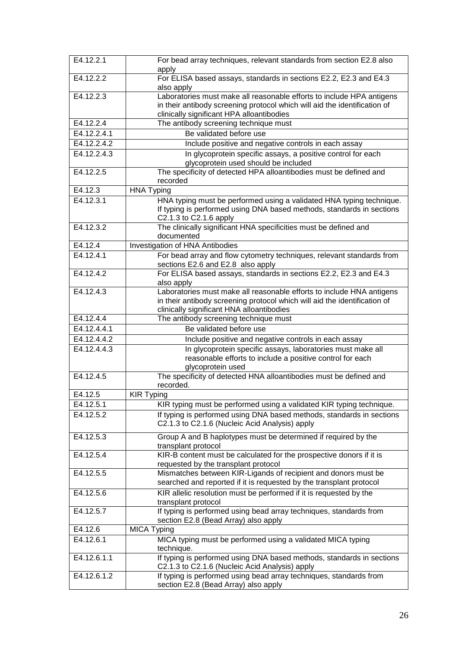| E4.12.2.1   | For bead array techniques, relevant standards from section E2.8 also<br>apply              |
|-------------|--------------------------------------------------------------------------------------------|
| E4.12.2.2   | For ELISA based assays, standards in sections E2.2, E2.3 and E4.3                          |
|             | also apply                                                                                 |
| E4.12.2.3   | Laboratories must make all reasonable efforts to include HPA antigens                      |
|             | in their antibody screening protocol which will aid the identification of                  |
|             | clinically significant HPA alloantibodies                                                  |
| E4.12.2.4   | The antibody screening technique must                                                      |
| E4.12.2.4.1 | Be validated before use                                                                    |
| E4.12.2.4.2 | Include positive and negative controls in each assay                                       |
| E4.12.2.4.3 | In glycoprotein specific assays, a positive control for each                               |
|             | glycoprotein used should be included                                                       |
| E4.12.2.5   | The specificity of detected HPA alloantibodies must be defined and                         |
|             | recorded                                                                                   |
| E4.12.3     | <b>HNA Typing</b>                                                                          |
| E4.12.3.1   | HNA typing must be performed using a validated HNA typing technique.                       |
|             | If typing is performed using DNA based methods, standards in sections                      |
| E4.12.3.2   | C2.1.3 to C2.1.6 apply<br>The clinically significant HNA specificities must be defined and |
|             | documented                                                                                 |
| E4.12.4     | Investigation of HNA Antibodies                                                            |
| E4.12.4.1   | For bead array and flow cytometry techniques, relevant standards from                      |
|             | sections E2.6 and E2.8 also apply                                                          |
| E4.12.4.2   | For ELISA based assays, standards in sections E2.2, E2.3 and E4.3                          |
|             | also apply                                                                                 |
| E4.12.4.3   | Laboratories must make all reasonable efforts to include HNA antigens                      |
|             | in their antibody screening protocol which will aid the identification of                  |
|             | clinically significant HNA alloantibodies                                                  |
| E4.12.4.4   | The antibody screening technique must                                                      |
| E4.12.4.4.1 | Be validated before use                                                                    |
| E4.12.4.4.2 | Include positive and negative controls in each assay                                       |
| E4.12.4.4.3 | In glycoprotein specific assays, laboratories must make all                                |
|             | reasonable efforts to include a positive control for each                                  |
|             | glycoprotein used                                                                          |
| E4.12.4.5   | The specificity of detected HNA alloantibodies must be defined and                         |
|             | recorded.                                                                                  |
| E4.12.5     | <b>KIR Typing</b>                                                                          |
| E4.12.5.1   | KIR typing must be performed using a validated KIR typing technique.                       |
| E4.12.5.2   | If typing is performed using DNA based methods, standards in sections                      |
|             | C2.1.3 to C2.1.6 (Nucleic Acid Analysis) apply                                             |
| E4.12.5.3   | Group A and B haplotypes must be determined if required by the                             |
|             | transplant protocol                                                                        |
| E4.12.5.4   | KIR-B content must be calculated for the prospective donors if it is                       |
|             | requested by the transplant protocol                                                       |
| E4.12.5.5   | Mismatches between KIR-Ligands of recipient and donors must be                             |
|             | searched and reported if it is requested by the transplant protocol                        |
| E4.12.5.6   | KIR allelic resolution must be performed if it is requested by the                         |
| E4.12.5.7   | transplant protocol<br>If typing is performed using bead array techniques, standards from  |
|             | section E2.8 (Bead Array) also apply                                                       |
| E4.12.6     | MICA Typing                                                                                |
| E4.12.6.1   | MICA typing must be performed using a validated MICA typing                                |
|             | technique.                                                                                 |
| E4.12.6.1.1 | If typing is performed using DNA based methods, standards in sections                      |
|             | C2.1.3 to C2.1.6 (Nucleic Acid Analysis) apply                                             |
| E4.12.6.1.2 | If typing is performed using bead array techniques, standards from                         |
|             | section E2.8 (Bead Array) also apply                                                       |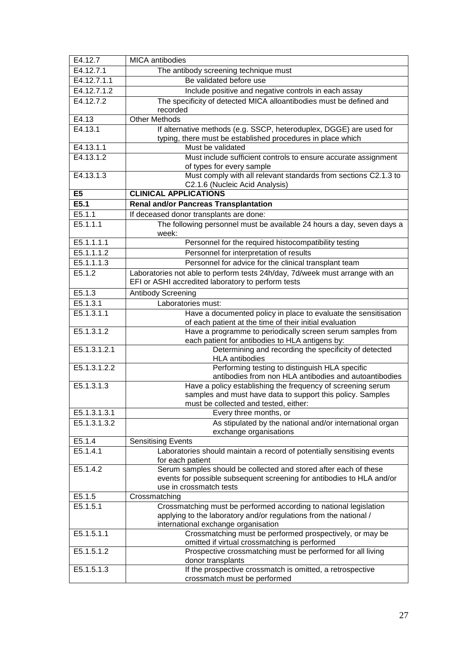| E4.12.7        | <b>MICA</b> antibodies                                                                                                             |
|----------------|------------------------------------------------------------------------------------------------------------------------------------|
| E4.12.7.1      | The antibody screening technique must                                                                                              |
| E4.12.7.1.1    | Be validated before use                                                                                                            |
| E4.12.7.1.2    | Include positive and negative controls in each assay                                                                               |
| E4.12.7.2      | The specificity of detected MICA alloantibodies must be defined and                                                                |
|                | recorded                                                                                                                           |
| E4.13          | <b>Other Methods</b>                                                                                                               |
| E4.13.1        | If alternative methods (e.g. SSCP, heteroduplex, DGGE) are used for                                                                |
|                | typing, there must be established procedures in place which                                                                        |
| E4.13.1.1      | Must be validated                                                                                                                  |
| E4.13.1.2      | Must include sufficient controls to ensure accurate assignment<br>of types for every sample                                        |
| E4.13.1.3      | Must comply with all relevant standards from sections C2.1.3 to<br>C2.1.6 (Nucleic Acid Analysis)                                  |
| E <sub>5</sub> | <b>CLINICAL APPLICATIONS</b>                                                                                                       |
| E5.1           | <b>Renal and/or Pancreas Transplantation</b>                                                                                       |
| E5.1.1         | If deceased donor transplants are done:                                                                                            |
| E5.1.1.1       | The following personnel must be available 24 hours a day, seven days a<br>week:                                                    |
| E5.1.1.1.1     | Personnel for the required histocompatibility testing                                                                              |
| E5.1.1.1.2     | Personnel for interpretation of results                                                                                            |
| E5.1.1.1.3     | Personnel for advice for the clinical transplant team                                                                              |
| E5.1.2         | Laboratories not able to perform tests 24h/day, 7d/week must arrange with an<br>EFI or ASHI accredited laboratory to perform tests |
| E5.1.3         | <b>Antibody Screening</b>                                                                                                          |
| E5.1.3.1       | Laboratories must:                                                                                                                 |
| E5.1.3.1.1     | Have a documented policy in place to evaluate the sensitisation<br>of each patient at the time of their initial evaluation         |
| E5.1.3.1.2     | Have a programme to periodically screen serum samples from<br>each patient for antibodies to HLA antigens by:                      |
| E5.1.3.1.2.1   | Determining and recording the specificity of detected<br><b>HLA</b> antibodies                                                     |
| E5.1.3.1.2.2   | Performing testing to distinguish HLA specific<br>antibodies from non HLA antibodies and autoantibodies                            |
| E5.1.3.1.3     | Have a policy establishing the frequency of screening serum                                                                        |
|                | samples and must have data to support this policy. Samples                                                                         |
|                | must be collected and tested, either:                                                                                              |
| E5.1.3.1.3.1   | Every three months, or                                                                                                             |
| E5.1.3.1.3.2   | As stipulated by the national and/or international organ<br>exchange organisations                                                 |
| E5.1.4         | <b>Sensitising Events</b>                                                                                                          |
| E5.1.4.1       | Laboratories should maintain a record of potentially sensitising events<br>for each patient                                        |
| E5.1.4.2       | Serum samples should be collected and stored after each of these                                                                   |
|                | events for possible subsequent screening for antibodies to HLA and/or                                                              |
|                | use in crossmatch tests                                                                                                            |
| E5.1.5         | Crossmatching                                                                                                                      |
| E5.1.5.1       | Crossmatching must be performed according to national legislation                                                                  |
|                | applying to the laboratory and/or regulations from the national /                                                                  |
|                | international exchange organisation                                                                                                |
| E5.1.5.1.1     | Crossmatching must be performed prospectively, or may be                                                                           |
|                | omitted if virtual crossmatching is performed                                                                                      |
| E5.1.5.1.2     | Prospective crossmatching must be performed for all living<br>donor transplants                                                    |
| E5.1.5.1.3     | If the prospective crossmatch is omitted, a retrospective                                                                          |
|                | crossmatch must be performed                                                                                                       |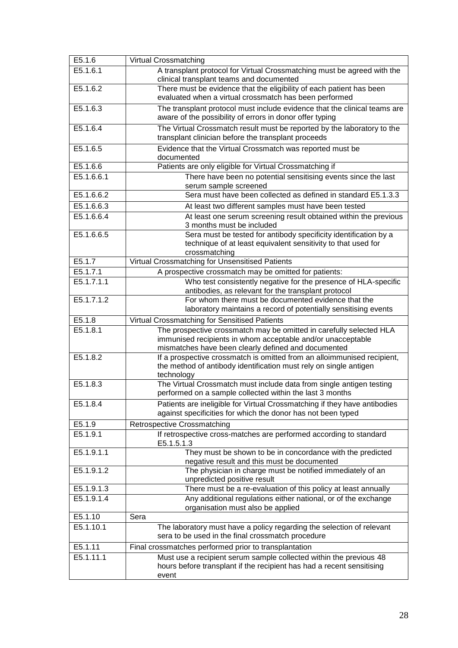| E5.1.6     | <b>Virtual Crossmatching</b>                                                                                                                                                                                      |
|------------|-------------------------------------------------------------------------------------------------------------------------------------------------------------------------------------------------------------------|
| E5.1.6.1   | A transplant protocol for Virtual Crossmatching must be agreed with the<br>clinical transplant teams and documented                                                                                               |
| E5.1.6.2   | There must be evidence that the eligibility of each patient has been<br>evaluated when a virtual crossmatch has been performed                                                                                    |
| E5.1.6.3   | The transplant protocol must include evidence that the clinical teams are<br>aware of the possibility of errors in donor offer typing                                                                             |
| E5.1.6.4   | The Virtual Crossmatch result must be reported by the laboratory to the<br>transplant clinician before the transplant proceeds                                                                                    |
| E5.1.6.5   | Evidence that the Virtual Crossmatch was reported must be<br>documented                                                                                                                                           |
| E5.1.6.6   | Patients are only eligible for Virtual Crossmatching if                                                                                                                                                           |
| E5.1.6.6.1 | There have been no potential sensitising events since the last<br>serum sample screened                                                                                                                           |
| E5.1.6.6.2 | Sera must have been collected as defined in standard E5.1.3.3                                                                                                                                                     |
| E5.1.6.6.3 | At least two different samples must have been tested                                                                                                                                                              |
| E5.1.6.6.4 | At least one serum screening result obtained within the previous<br>3 months must be included                                                                                                                     |
| E5.1.6.6.5 | Sera must be tested for antibody specificity identification by a<br>technique of at least equivalent sensitivity to that used for<br>crossmatching                                                                |
| E5.1.7     | Virtual Crossmatching for Unsensitised Patients                                                                                                                                                                   |
| E5.1.7.1   | A prospective crossmatch may be omitted for patients:                                                                                                                                                             |
| E5.1.7.1.1 | Who test consistently negative for the presence of HLA-specific<br>antibodies, as relevant for the transplant protocol                                                                                            |
| E5.1.7.1.2 | For whom there must be documented evidence that the<br>laboratory maintains a record of potentially sensitising events                                                                                            |
| E5.1.8     | Virtual Crossmatching for Sensitised Patients                                                                                                                                                                     |
| E5.1.8.1   | The prospective crossmatch may be omitted in carefully selected HLA<br>immunised recipients in whom acceptable and/or unacceptable                                                                                |
| E5.1.8.2   | mismatches have been clearly defined and documented<br>If a prospective crossmatch is omitted from an alloimmunised recipient,<br>the method of antibody identification must rely on single antigen<br>technology |
| E5.1.8.3   | The Virtual Crossmatch must include data from single antigen testing<br>performed on a sample collected within the last 3 months                                                                                  |
| E5.1.8.4   | Patients are ineligible for Virtual Crossmatching if they have antibodies<br>against specificities for which the donor has not been typed                                                                         |
| E5.1.9     | <b>Retrospective Crossmatching</b>                                                                                                                                                                                |
| E5.1.9.1   | If retrospective cross-matches are performed according to standard<br>E5.1.5.1.3                                                                                                                                  |
| E5.1.9.1.1 | They must be shown to be in concordance with the predicted<br>negative result and this must be documented                                                                                                         |
| E5.1.9.1.2 | The physician in charge must be notified immediately of an<br>unpredicted positive result                                                                                                                         |
| E5.1.9.1.3 | There must be a re-evaluation of this policy at least annually                                                                                                                                                    |
| E5.1.9.1.4 | Any additional regulations either national, or of the exchange<br>organisation must also be applied                                                                                                               |
| E5.1.10    | Sera                                                                                                                                                                                                              |
| E5.1.10.1  | The laboratory must have a policy regarding the selection of relevant<br>sera to be used in the final crossmatch procedure                                                                                        |
| E5.1.11    | Final crossmatches performed prior to transplantation                                                                                                                                                             |
| E5.1.11.1  | Must use a recipient serum sample collected within the previous 48<br>hours before transplant if the recipient has had a recent sensitising<br>event                                                              |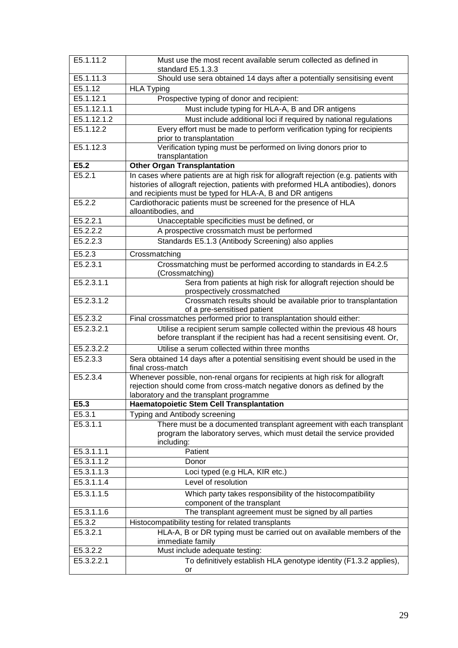| E5.1.11.2   | Must use the most recent available serum collected as defined in<br>standard E5.1.3.3                                                                                                                                                  |  |
|-------------|----------------------------------------------------------------------------------------------------------------------------------------------------------------------------------------------------------------------------------------|--|
| E5.1.11.3   | Should use sera obtained 14 days after a potentially sensitising event                                                                                                                                                                 |  |
| E5.1.12     | <b>HLA Typing</b>                                                                                                                                                                                                                      |  |
| E5.1.12.1   | Prospective typing of donor and recipient:                                                                                                                                                                                             |  |
| E5.1.12.1.1 | Must include typing for HLA-A, B and DR antigens                                                                                                                                                                                       |  |
| E5.1.12.1.2 | Must include additional loci if required by national regulations                                                                                                                                                                       |  |
| E5.1.12.2   | Every effort must be made to perform verification typing for recipients<br>prior to transplantation                                                                                                                                    |  |
| E5.1.12.3   | Verification typing must be performed on living donors prior to<br>transplantation                                                                                                                                                     |  |
| E5.2        | <b>Other Organ Transplantation</b>                                                                                                                                                                                                     |  |
| E5.2.1      | In cases where patients are at high risk for allograft rejection (e.g. patients with<br>histories of allograft rejection, patients with preformed HLA antibodies), donors<br>and recipients must be typed for HLA-A, B and DR antigens |  |
| E5.2.2      | Cardiothoracic patients must be screened for the presence of HLA<br>alloantibodies, and                                                                                                                                                |  |
| E5.2.2.1    | Unacceptable specificities must be defined, or                                                                                                                                                                                         |  |
| E5.2.2.2    | A prospective crossmatch must be performed                                                                                                                                                                                             |  |
| E5.2.2.3    | Standards E5.1.3 (Antibody Screening) also applies                                                                                                                                                                                     |  |
| E5.2.3      | Crossmatching                                                                                                                                                                                                                          |  |
| E5.2.3.1    | Crossmatching must be performed according to standards in E4.2.5<br>(Crossmatching)                                                                                                                                                    |  |
| E5.2.3.1.1  | Sera from patients at high risk for allograft rejection should be<br>prospectively crossmatched                                                                                                                                        |  |
| E5.2.3.1.2  | Crossmatch results should be available prior to transplantation<br>of a pre-sensitised patient                                                                                                                                         |  |
| E5.2.3.2    | Final crossmatches performed prior to transplantation should either:                                                                                                                                                                   |  |
| E5.2.3.2.1  | Utilise a recipient serum sample collected within the previous 48 hours<br>before transplant if the recipient has had a recent sensitising event. Or,                                                                                  |  |
| E5.2.3.2.2  | Utilise a serum collected within three months                                                                                                                                                                                          |  |
| E5.2.3.3    | Sera obtained 14 days after a potential sensitising event should be used in the<br>final cross-match                                                                                                                                   |  |
| E5.2.3.4    | Whenever possible, non-renal organs for recipients at high risk for allograft<br>rejection should come from cross-match negative donors as defined by the<br>laboratory and the transplant programme                                   |  |
| E5.3        | <b>Haematopoietic Stem Cell Transplantation</b>                                                                                                                                                                                        |  |
| E5.3.1      | Typing and Antibody screening                                                                                                                                                                                                          |  |
| E5.3.1.1    | There must be a documented transplant agreement with each transplant<br>program the laboratory serves, which must detail the service provided<br>including:                                                                            |  |
| E5.3.1.1.1  | Patient                                                                                                                                                                                                                                |  |
| E5.3.1.1.2  | Donor                                                                                                                                                                                                                                  |  |
| E5.3.1.1.3  | Loci typed (e.g HLA, KIR etc.)                                                                                                                                                                                                         |  |
| E5.3.1.1.4  | Level of resolution                                                                                                                                                                                                                    |  |
| E5.3.1.1.5  | Which party takes responsibility of the histocompatibility<br>component of the transplant                                                                                                                                              |  |
| E5.3.1.1.6  | The transplant agreement must be signed by all parties                                                                                                                                                                                 |  |
| E5.3.2      | Histocompatibility testing for related transplants                                                                                                                                                                                     |  |
| E5.3.2.1    | HLA-A, B or DR typing must be carried out on available members of the<br>immediate family                                                                                                                                              |  |
| E5.3.2.2    | Must include adequate testing:                                                                                                                                                                                                         |  |
| E5.3.2.2.1  | To definitively establish HLA genotype identity (F1.3.2 applies),<br>or                                                                                                                                                                |  |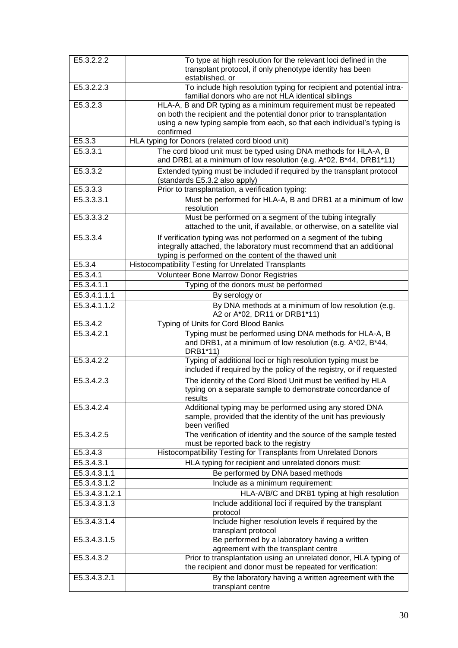| E5.3.2.2.2              | To type at high resolution for the relevant loci defined in the<br>transplant protocol, if only phenotype identity has been<br>established, or                                                                                      |
|-------------------------|-------------------------------------------------------------------------------------------------------------------------------------------------------------------------------------------------------------------------------------|
| E5.3.2.2.3              | To include high resolution typing for recipient and potential intra-<br>familial donors who are not HLA identical siblings                                                                                                          |
| E5.3.2.3                | HLA-A, B and DR typing as a minimum requirement must be repeated<br>on both the recipient and the potential donor prior to transplantation<br>using a new typing sample from each, so that each individual's typing is<br>confirmed |
| E5.3.3                  | HLA typing for Donors (related cord blood unit)                                                                                                                                                                                     |
| E5.3.3.1                | The cord blood unit must be typed using DNA methods for HLA-A, B<br>and DRB1 at a minimum of low resolution (e.g. A*02, B*44, DRB1*11)                                                                                              |
| E5.3.3.2                | Extended typing must be included if required by the transplant protocol<br>(standards E5.3.2 also apply)                                                                                                                            |
| E5.3.3.3                | Prior to transplantation, a verification typing:                                                                                                                                                                                    |
| E5.3.3.3.1              | Must be performed for HLA-A, B and DRB1 at a minimum of low<br>resolution                                                                                                                                                           |
| E5.3.3.3.2              | Must be performed on a segment of the tubing integrally<br>attached to the unit, if available, or otherwise, on a satellite vial                                                                                                    |
| E5.3.3.4                | If verification typing was not performed on a segment of the tubing<br>integrally attached, the laboratory must recommend that an additional<br>typing is performed on the content of the thawed unit                               |
| E5.3.4                  | <b>Histocompatibility Testing for Unrelated Transplants</b>                                                                                                                                                                         |
| E5.3.4.1                | <b>Volunteer Bone Marrow Donor Registries</b>                                                                                                                                                                                       |
| $E5.3.\overline{4.1.1}$ | Typing of the donors must be performed                                                                                                                                                                                              |
| E5.3.4.1.1.1            | By serology or                                                                                                                                                                                                                      |
| E5.3.4.1.1.2            | By DNA methods at a minimum of low resolution (e.g.<br>A2 or A*02, DR11 or DRB1*11)                                                                                                                                                 |
| E5.3.4.2                | Typing of Units for Cord Blood Banks                                                                                                                                                                                                |
| E5.3.4.2.1              | Typing must be performed using DNA methods for HLA-A, B<br>and DRB1, at a minimum of low resolution (e.g. A*02, B*44,<br>DRB1*11)                                                                                                   |
| E5.3.4.2.2              | Typing of additional loci or high resolution typing must be<br>included if required by the policy of the registry, or if requested                                                                                                  |
| E5.3.4.2.3              | The identity of the Cord Blood Unit must be verified by HLA<br>typing on a separate sample to demonstrate concordance of<br>results                                                                                                 |
| E5.3.4.2.4              | Additional typing may be performed using any stored DNA<br>sample, provided that the identity of the unit has previously<br>been verified                                                                                           |
| E5.3.4.2.5              | The verification of identity and the source of the sample tested<br>must be reported back to the registry                                                                                                                           |
| E5.3.4.3                | Histocompatibility Testing for Transplants from Unrelated Donors                                                                                                                                                                    |
| E5.3.4.3.1              | HLA typing for recipient and unrelated donors must:                                                                                                                                                                                 |
| E5.3.4.3.1.1            | Be performed by DNA based methods                                                                                                                                                                                                   |
| E5.3.4.3.1.2            | Include as a minimum requirement:                                                                                                                                                                                                   |
| E5.3.4.3.1.2.1          | HLA-A/B/C and DRB1 typing at high resolution                                                                                                                                                                                        |
| E5.3.4.3.1.3            | Include additional loci if required by the transplant<br>protocol                                                                                                                                                                   |
| E5.3.4.3.1.4            | Include higher resolution levels if required by the<br>transplant protocol                                                                                                                                                          |
| E5.3.4.3.1.5            | Be performed by a laboratory having a written<br>agreement with the transplant centre                                                                                                                                               |
| E5.3.4.3.2              | Prior to transplantation using an unrelated donor, HLA typing of<br>the recipient and donor must be repeated for verification:                                                                                                      |
| E5.3.4.3.2.1            | By the laboratory having a written agreement with the<br>transplant centre                                                                                                                                                          |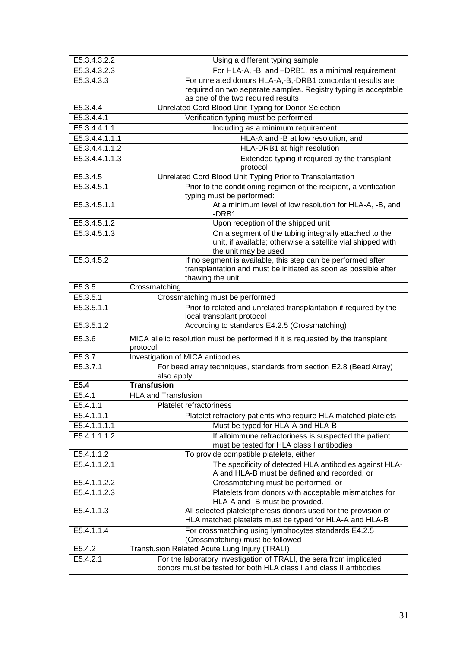| E5.3.4.3.2.2   | Using a different typing sample                                                                         |  |
|----------------|---------------------------------------------------------------------------------------------------------|--|
| E5.3.4.3.2.3   | For HLA-A, -B, and -DRB1, as a minimal requirement                                                      |  |
| E5.3.4.3.3     | For unrelated donors HLA-A,-B,-DRB1 concordant results are                                              |  |
|                | required on two separate samples. Registry typing is acceptable                                         |  |
|                | as one of the two required results                                                                      |  |
| E5.3.4.4       | Unrelated Cord Blood Unit Typing for Donor Selection                                                    |  |
| E5.3.4.4.1     | Verification typing must be performed                                                                   |  |
| E5.3.4.4.1.1   | Including as a minimum requirement                                                                      |  |
| E5.3.4.4.1.1.1 | HLA-A and -B at low resolution, and                                                                     |  |
| E5.3.4.4.1.1.2 | HLA-DRB1 at high resolution                                                                             |  |
| E5.3.4.4.1.1.3 | Extended typing if required by the transplant<br>protocol                                               |  |
| E5.3.4.5       | Unrelated Cord Blood Unit Typing Prior to Transplantation                                               |  |
| E5.3.4.5.1     | Prior to the conditioning regimen of the recipient, a verification                                      |  |
|                | typing must be performed:                                                                               |  |
| E5.3.4.5.1.1   | At a minimum level of low resolution for HLA-A, -B, and<br>-DRB1                                        |  |
| E5.3.4.5.1.2   | Upon reception of the shipped unit                                                                      |  |
| E5.3.4.5.1.3   | On a segment of the tubing integrally attached to the                                                   |  |
|                | unit, if available; otherwise a satellite vial shipped with<br>the unit may be used                     |  |
| E5.3.4.5.2     | If no segment is available, this step can be performed after                                            |  |
|                | transplantation and must be initiated as soon as possible after                                         |  |
|                | thawing the unit                                                                                        |  |
| E5.3.5         | Crossmatching                                                                                           |  |
| E5.3.5.1       | Crossmatching must be performed                                                                         |  |
| E5.3.5.1.1     | Prior to related and unrelated transplantation if required by the<br>local transplant protocol          |  |
| E5.3.5.1.2     | According to standards E4.2.5 (Crossmatching)                                                           |  |
| E5.3.6         | MICA allelic resolution must be performed if it is requested by the transplant                          |  |
| E5.3.7         | protocol                                                                                                |  |
| E5.3.7.1       | Investigation of MICA antibodies<br>For bead array techniques, standards from section E2.8 (Bead Array) |  |
|                | also apply                                                                                              |  |
| E5.4           | <b>Transfusion</b>                                                                                      |  |
| E5.4.1         | <b>HLA and Transfusion</b>                                                                              |  |
| E5.4.1.1       | Platelet refractoriness                                                                                 |  |
| E5.4.1.1.1     | Platelet refractory patients who require HLA matched platelets                                          |  |
| E5.4.1.1.1.1   | Must be typed for HLA-A and HLA-B                                                                       |  |
| E5.4.1.1.1.2   | If alloimmune refractoriness is suspected the patient<br>must be tested for HLA class I antibodies      |  |
| E5.4.1.1.2     | To provide compatible platelets, either:                                                                |  |
| E5.4.1.1.2.1   | The specificity of detected HLA antibodies against HLA-                                                 |  |
|                | A and HLA-B must be defined and recorded, or                                                            |  |
| E5.4.1.1.2.2   | Crossmatching must be performed, or                                                                     |  |
| E5.4.1.1.2.3   | Platelets from donors with acceptable mismatches for<br>HLA-A and -B must be provided.                  |  |
| E5.4.1.1.3     | All selected plateletpheresis donors used for the provision of                                          |  |
|                | HLA matched platelets must be typed for HLA-A and HLA-B                                                 |  |
| E5.4.1.1.4     | For crossmatching using lymphocytes standards E4.2.5                                                    |  |
| E5.4.2         | (Crossmatching) must be followed<br>Transfusion Related Acute Lung Injury (TRALI)                       |  |
| E5.4.2.1       | For the laboratory investigation of TRALI, the sera from implicated                                     |  |
|                | donors must be tested for both HLA class I and class II antibodies                                      |  |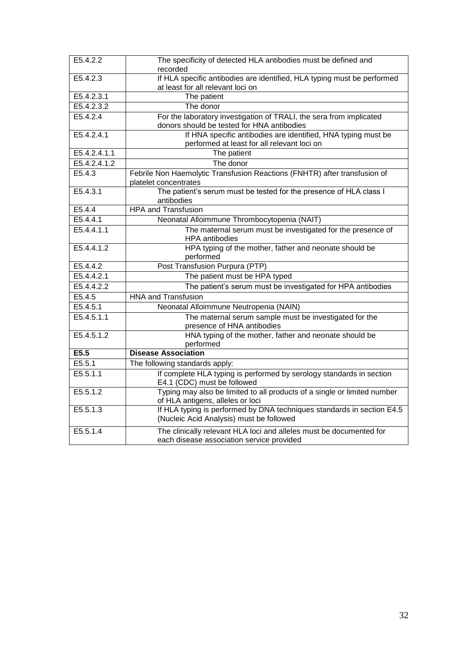| E5.4.2.2     | The specificity of detected HLA antibodies must be defined and<br>recorded                                         |  |
|--------------|--------------------------------------------------------------------------------------------------------------------|--|
| E5.4.2.3     | If HLA specific antibodies are identified, HLA typing must be performed<br>at least for all relevant loci on       |  |
| E5.4.2.3.1   | The patient                                                                                                        |  |
| E5.4.2.3.2   | The donor                                                                                                          |  |
| E5.4.2.4     | For the laboratory investigation of TRALI, the sera from implicated<br>donors should be tested for HNA antibodies  |  |
| E5.4.2.4.1   | If HNA specific antibodies are identified, HNA typing must be<br>performed at least for all relevant loci on       |  |
| E5.4.2.4.1.1 | The patient                                                                                                        |  |
| E5.4.2.4.1.2 | The donor                                                                                                          |  |
| E5.4.3       | Febrile Non Haemolytic Transfusion Reactions (FNHTR) after transfusion of<br>platelet concentrates                 |  |
| E5.4.3.1     | The patient's serum must be tested for the presence of HLA class I<br>antibodies                                   |  |
| E5.4.4       | <b>HPA and Transfusion</b>                                                                                         |  |
| E5.4.4.1     | Neonatal Alloimmune Thrombocytopenia (NAIT)                                                                        |  |
| E5.4.4.1.1   | The maternal serum must be investigated for the presence of<br><b>HPA</b> antibodies                               |  |
| E5.4.4.1.2   | HPA typing of the mother, father and neonate should be<br>performed                                                |  |
| E5.4.4.2     | Post Transfusion Purpura (PTP)                                                                                     |  |
| E5.4.4.2.1   | The patient must be HPA typed                                                                                      |  |
| E5.4.4.2.2   | The patient's serum must be investigated for HPA antibodies                                                        |  |
| E5.4.5       | <b>HNA and Transfusion</b>                                                                                         |  |
| E5.4.5.1     | Neonatal Alloimmune Neutropenia (NAIN)                                                                             |  |
| E5.4.5.1.1   | The maternal serum sample must be investigated for the<br>presence of HNA antibodies                               |  |
| E5.4.5.1.2   | HNA typing of the mother, father and neonate should be<br>performed                                                |  |
| E5.5         | <b>Disease Association</b>                                                                                         |  |
| E5.5.1       | The following standards apply:                                                                                     |  |
| E5.5.1.1     | If complete HLA typing is performed by serology standards in section<br>E4.1 (CDC) must be followed                |  |
| E5.5.1.2     | Typing may also be limited to all products of a single or limited number<br>of HLA antigens, alleles or loci       |  |
| E5.5.1.3     | If HLA typing is performed by DNA techniques standards in section E4.5<br>(Nucleic Acid Analysis) must be followed |  |
| E5.5.1.4     | The clinically relevant HLA loci and alleles must be documented for<br>each disease association service provided   |  |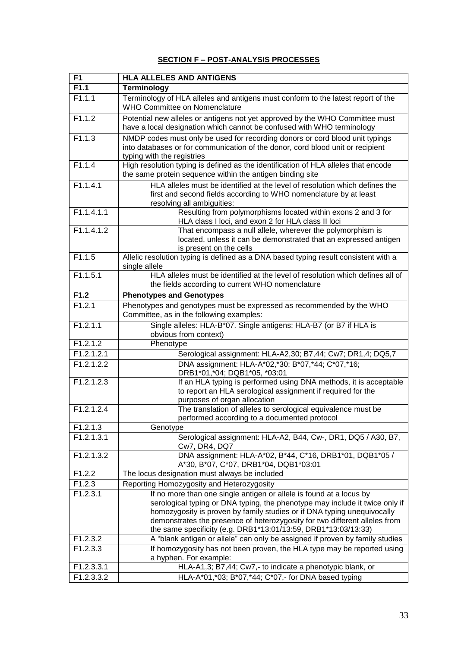#### **F1 HLA ALLELES AND ANTIGENS F1.1 Terminology** F1.1.1 Terminology of HLA alleles and antigens must conform to the latest report of the WHO Committee on Nomenclature F1.1.2 Potential new alleles or antigens not yet approved by the WHO Committee must have a local designation which cannot be confused with WHO terminology F1.1.3 NMDP codes must only be used for recording donors or cord blood unit typings into databases or for communication of the donor, cord blood unit or recipient typing with the registries F1.1.4 High resolution typing is defined as the identification of HLA alleles that encode the same protein sequence within the antigen binding site F1.1.4.1 HLA alleles must be identified at the level of resolution which defines the first and second fields according to WHO nomenclature by at least resolving all ambiguities: F1.1.4.1.1 Resulting from polymorphisms located within exons 2 and 3 for HLA class I loci, and exon 2 for HLA class II loci F1.1.4.1.2 That encompass a null allele, wherever the polymorphism is located, unless it can be demonstrated that an expressed antigen is present on the cells F1.1.5 Allelic resolution typing is defined as a DNA based typing result consistent with a single allele F1.1.5.1 HLA alleles must be identified at the level of resolution which defines all of the fields according to current WHO nomenclature **F1.2 Phenotypes and Genotypes** F1.2.1 Phenotypes and genotypes must be expressed as recommended by the WHO Committee, as in the following examples: F1.2.1.1 Single alleles: HLA-B\*07. Single antigens: HLA-B7 (or B7 if HLA is obvious from context) F1.2.1.2 Phenotype F1.2.1.2.1 Serological assignment: HLA-A2,30; B7,44; Cw7; DR1,4; DQ5,7 F1.2.1.2.2 DNA assignment: HLA-A\*02,\*30; B\*07,\*44; C\*07,\*16; DRB1\*01,\*04; DQB1\*05, \*03:01 F1.2.1.2.3 If an HLA typing is performed using DNA methods, it is acceptable to report an HLA serological assignment if required for the purposes of organ allocation F1.2.1.2.4 The translation of alleles to serological equivalence must be performed according to a documented protocol F1.2.1.3 Genotype F1.2.1.3.1 Serological assignment: HLA-A2, B44, Cw-, DR1, DQ5 / A30, B7, Cw7, DR4, DQ7 F1.2.1.3.2 DNA assignment: HLA-A\*02, B\*44, C\*16, DRB1\*01, DQB1\*05 / A\*30, B\*07, C\*07, DRB1\*04, DQB1\*03:01 F1.2.2 The locus designation must always be included F1.2.3 Reporting Homozygosity and Heterozygosity F1.2.3.1 If no more than one single antigen or allele is found at a locus by serological typing or DNA typing, the phenotype may include it twice only if homozygosity is proven by family studies or if DNA typing unequivocally demonstrates the presence of heterozygosity for two different alleles from the same specificity (e.g. DRB1\*13:01/13:59, DRB1\*13:03/13:33) F1.2.3.2 A "blank antigen or allele" can only be assigned if proven by family studies F1.2.3.3 If homozygosity has not been proven, the HLA type may be reported using a hyphen. For example: F1.2.3.3.1 HLA-A1,3; B7,44; Cw7,- to indicate a phenotypic blank, or F1.2.3.3.2 HLA-A\*01,\*03; B\*07,\*44; C\*07,- for DNA based typing

#### **SECTION F – POST-ANALYSIS PROCESSES**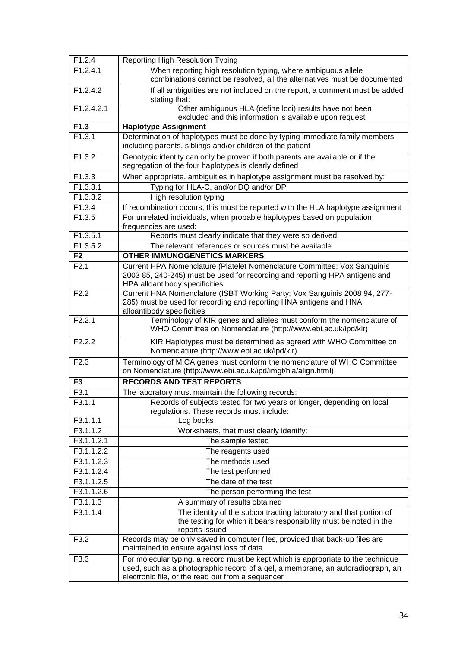| F1.2.4                | <b>Reporting High Resolution Typing</b>                                                                                                                                                                                   |
|-----------------------|---------------------------------------------------------------------------------------------------------------------------------------------------------------------------------------------------------------------------|
| F1.2.4.1              | When reporting high resolution typing, where ambiguous allele<br>combinations cannot be resolved, all the alternatives must be documented                                                                                 |
| F1.2.4.2              | If all ambiguities are not included on the report, a comment must be added<br>stating that:                                                                                                                               |
| F1.2.4.2.1            | Other ambiguous HLA (define loci) results have not been                                                                                                                                                                   |
|                       | excluded and this information is available upon request                                                                                                                                                                   |
| F1.3                  | <b>Haplotype Assignment</b>                                                                                                                                                                                               |
| F1.3.1                | Determination of haplotypes must be done by typing immediate family members<br>including parents, siblings and/or children of the patient                                                                                 |
| F1.3.2                | Genotypic identity can only be proven if both parents are available or if the<br>segregation of the four haplotypes is clearly defined                                                                                    |
| F1.3.3                | When appropriate, ambiguities in haplotype assignment must be resolved by:                                                                                                                                                |
| F1.3.3.1              | Typing for HLA-C, and/or DQ and/or DP                                                                                                                                                                                     |
| F1.3.3.2              | High resolution typing                                                                                                                                                                                                    |
| F1.3.4                | If recombination occurs, this must be reported with the HLA haplotype assignment                                                                                                                                          |
| F1.3.5                | For unrelated individuals, when probable haplotypes based on population<br>frequencies are used:                                                                                                                          |
| F1.3.5.1              | Reports must clearly indicate that they were so derived                                                                                                                                                                   |
| F1.3.5.2              | The relevant references or sources must be available                                                                                                                                                                      |
| F <sub>2</sub>        | <b>OTHER IMMUNOGENETICS MARKERS</b>                                                                                                                                                                                       |
| F2.1                  | Current HPA Nomenclature (Platelet Nomenclature Committee; Vox Sanguinis<br>2003 85, 240-245) must be used for recording and reporting HPA antigens and<br>HPA alloantibody specificities                                 |
| F2.2                  | Current HNA Nomenclature (ISBT Working Party; Vox Sanguinis 2008 94, 277-<br>285) must be used for recording and reporting HNA antigens and HNA<br>alloantibody specificities                                             |
| F2.2.1                | Terminology of KIR genes and alleles must conform the nomenclature of<br>WHO Committee on Nomenclature (http://www.ebi.ac.uk/ipd/kir)                                                                                     |
| F2.2.2                | KIR Haplotypes must be determined as agreed with WHO Committee on<br>Nomenclature (http://www.ebi.ac.uk/ipd/kir)                                                                                                          |
| F2.3                  | Terminology of MICA genes must conform the nomenclature of WHO Committee<br>on Nomenclature (http://www.ebi.ac.uk/ipd/imgt/hla/align.html)                                                                                |
| F <sub>3</sub>        | <b>RECORDS AND TEST REPORTS</b>                                                                                                                                                                                           |
| F <sub>3.1</sub>      | The laboratory must maintain the following records:                                                                                                                                                                       |
| F3.1.1                | Records of subjects tested for two years or longer, depending on local<br>regulations. These records must include:                                                                                                        |
| F3.1.1.1              | Log books                                                                                                                                                                                                                 |
| F3.1.1.2              | Worksheets, that must clearly identify:                                                                                                                                                                                   |
| F3.1.1.2.1            | The sample tested                                                                                                                                                                                                         |
| F3.1.1.2.2            | The reagents used                                                                                                                                                                                                         |
| F3.1.1.2.3            | The methods used                                                                                                                                                                                                          |
| F3.1.1.2.4            | The test performed                                                                                                                                                                                                        |
| F3.1.1.2.5            | The date of the test                                                                                                                                                                                                      |
| F3.1.1.2.6            | The person performing the test                                                                                                                                                                                            |
| F3.1.1.3              | A summary of results obtained                                                                                                                                                                                             |
| $\overline{F}3.1.1.4$ | The identity of the subcontracting laboratory and that portion of<br>the testing for which it bears responsibility must be noted in the<br>reports issued                                                                 |
| F3.2                  | Records may be only saved in computer files, provided that back-up files are<br>maintained to ensure against loss of data                                                                                                 |
| F3.3                  | For molecular typing, a record must be kept which is appropriate to the technique<br>used, such as a photographic record of a gel, a membrane, an autoradiograph, an<br>electronic file, or the read out from a sequencer |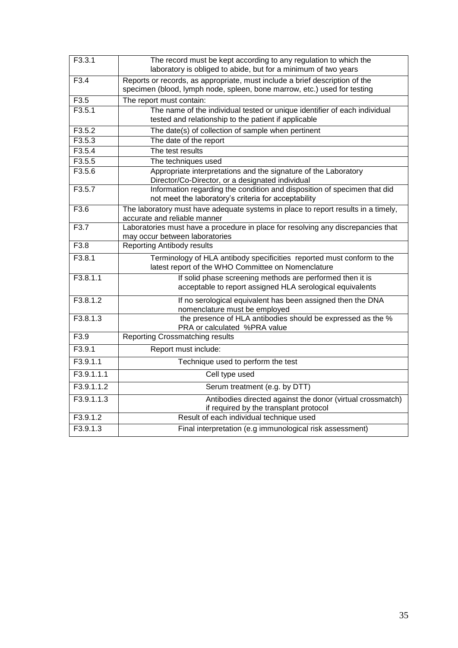| F3.3.1     | The record must be kept according to any regulation to which the<br>laboratory is obliged to abide, but for a minimum of two years                      |  |
|------------|---------------------------------------------------------------------------------------------------------------------------------------------------------|--|
| F3.4       | Reports or records, as appropriate, must include a brief description of the<br>specimen (blood, lymph node, spleen, bone marrow, etc.) used for testing |  |
| F3.5       | The report must contain:                                                                                                                                |  |
| F3.5.1     | The name of the individual tested or unique identifier of each individual<br>tested and relationship to the patient if applicable                       |  |
| F3.5.2     | The date(s) of collection of sample when pertinent                                                                                                      |  |
| F3.5.3     | The date of the report                                                                                                                                  |  |
| F3.5.4     | The test results                                                                                                                                        |  |
| F3.5.5     | The techniques used                                                                                                                                     |  |
| F3.5.6     | Appropriate interpretations and the signature of the Laboratory<br>Director/Co-Director, or a designated individual                                     |  |
| F3.5.7     | Information regarding the condition and disposition of specimen that did<br>not meet the laboratory's criteria for acceptability                        |  |
| F3.6       | The laboratory must have adequate systems in place to report results in a timely,<br>accurate and reliable manner                                       |  |
| F3.7       | Laboratories must have a procedure in place for resolving any discrepancies that<br>may occur between laboratories                                      |  |
| F3.8       | <b>Reporting Antibody results</b>                                                                                                                       |  |
| F3.8.1     | Terminology of HLA antibody specificities reported must conform to the<br>latest report of the WHO Committee on Nomenclature                            |  |
| F3.8.1.1   | If solid phase screening methods are performed then it is<br>acceptable to report assigned HLA serological equivalents                                  |  |
| F3.8.1.2   | If no serological equivalent has been assigned then the DNA<br>nomenclature must be employed                                                            |  |
| F3.8.1.3   | the presence of HLA antibodies should be expressed as the %<br>PRA or calculated %PRA value                                                             |  |
| F3.9       | <b>Reporting Crossmatching results</b>                                                                                                                  |  |
| F3.9.1     | Report must include:                                                                                                                                    |  |
| F3.9.1.1   | Technique used to perform the test                                                                                                                      |  |
| F3.9.1.1.1 | Cell type used                                                                                                                                          |  |
| F3.9.1.1.2 | Serum treatment (e.g. by DTT)                                                                                                                           |  |
| F3.9.1.1.3 | Antibodies directed against the donor (virtual crossmatch)<br>if required by the transplant protocol                                                    |  |
| F3.9.1.2   | Result of each individual technique used                                                                                                                |  |
| F3.9.1.3   | Final interpretation (e.g immunological risk assessment)                                                                                                |  |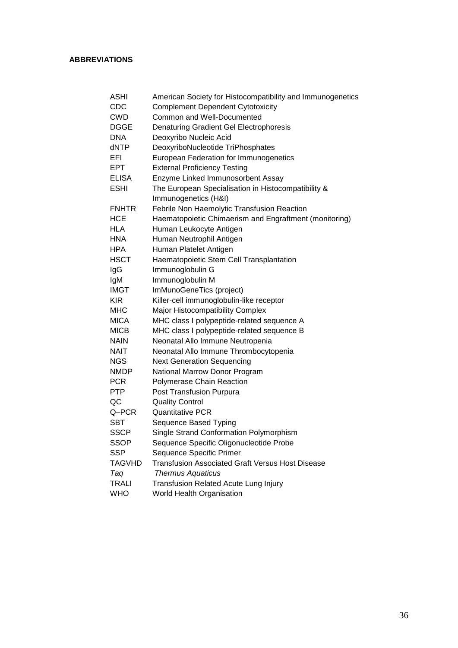#### **ABBREVIATIONS**

| <b>ASHI</b>  | American Society for Histocompatibility and Immunogenetics |  |
|--------------|------------------------------------------------------------|--|
| CDC          | <b>Complement Dependent Cytotoxicity</b>                   |  |
| <b>CWD</b>   | Common and Well-Documented                                 |  |
| DGGE         | Denaturing Gradient Gel Electrophoresis                    |  |
| <b>DNA</b>   | Deoxyribo Nucleic Acid                                     |  |
| dNTP         | DeoxyriboNucleotide TriPhosphates                          |  |
| EFI          | European Federation for Immunogenetics                     |  |
| <b>EPT</b>   | <b>External Proficiency Testing</b>                        |  |
| <b>ELISA</b> | Enzyme Linked Immunosorbent Assay                          |  |
| <b>ESHI</b>  | The European Specialisation in Histocompatibility &        |  |
|              | Immunogenetics (H&I)                                       |  |
| <b>FNHTR</b> | Febrile Non Haemolytic Transfusion Reaction                |  |
| <b>HCE</b>   | Haematopoietic Chimaerism and Engraftment (monitoring)     |  |
| HLA          | Human Leukocyte Antigen                                    |  |
| <b>HNA</b>   | Human Neutrophil Antigen                                   |  |
| <b>HPA</b>   | Human Platelet Antigen                                     |  |
| <b>HSCT</b>  | Haematopoietic Stem Cell Transplantation                   |  |
| IgG          | Immunoglobulin G                                           |  |
| IgM          | Immunoglobulin M                                           |  |
| <b>IMGT</b>  | ImMunoGeneTics (project)                                   |  |
| <b>KIR</b>   | Killer-cell immunoglobulin-like receptor                   |  |
| MHC          | Major Histocompatibility Complex                           |  |
| <b>MICA</b>  | MHC class I polypeptide-related sequence A                 |  |
| <b>MICB</b>  | MHC class I polypeptide-related sequence B                 |  |
| <b>NAIN</b>  | Neonatal Allo Immune Neutropenia                           |  |
| NAIT         | Neonatal Allo Immune Thrombocytopenia                      |  |
| <b>NGS</b>   | <b>Next Generation Sequencing</b>                          |  |
| <b>NMDP</b>  | National Marrow Donor Program                              |  |
| <b>PCR</b>   | Polymerase Chain Reaction                                  |  |
| <b>PTP</b>   | Post Transfusion Purpura                                   |  |
| QC           | <b>Quality Control</b>                                     |  |
| Q-PCR        | <b>Quantitative PCR</b>                                    |  |
| SBT          | Sequence Based Typing                                      |  |
| <b>SSCP</b>  | Single Strand Conformation Polymorphism                    |  |
| SSOP         | Sequence Specific Oligonucleotide Probe                    |  |
| <b>SSP</b>   | Sequence Specific Primer                                   |  |
| TAGVHD       | <b>Transfusion Associated Graft Versus Host Disease</b>    |  |
| Taq          | <b>Thermus Aquaticus</b>                                   |  |
| <b>TRALI</b> | Transfusion Related Acute Lung Injury                      |  |
| <b>WHO</b>   | World Health Organisation                                  |  |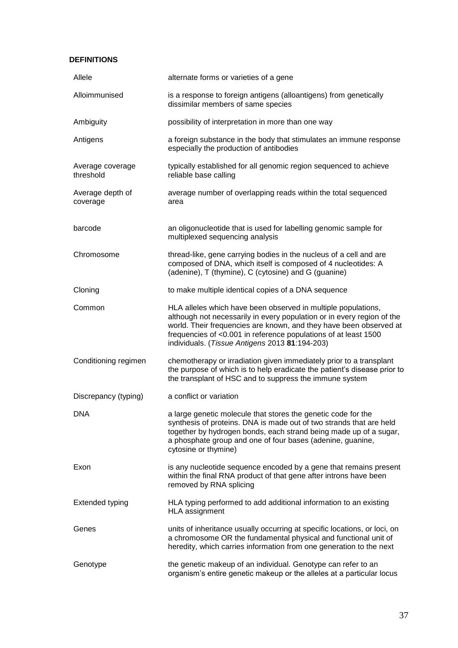#### **DEFINITIONS**

| Allele                        | alternate forms or varieties of a gene                                                                                                                                                                                                                                                                                             |
|-------------------------------|------------------------------------------------------------------------------------------------------------------------------------------------------------------------------------------------------------------------------------------------------------------------------------------------------------------------------------|
| Alloimmunised                 | is a response to foreign antigens (alloantigens) from genetically<br>dissimilar members of same species                                                                                                                                                                                                                            |
| Ambiguity                     | possibility of interpretation in more than one way                                                                                                                                                                                                                                                                                 |
| Antigens                      | a foreign substance in the body that stimulates an immune response<br>especially the production of antibodies                                                                                                                                                                                                                      |
| Average coverage<br>threshold | typically established for all genomic region sequenced to achieve<br>reliable base calling                                                                                                                                                                                                                                         |
| Average depth of<br>coverage  | average number of overlapping reads within the total sequenced<br>area                                                                                                                                                                                                                                                             |
| barcode                       | an oligonucleotide that is used for labelling genomic sample for<br>multiplexed sequencing analysis                                                                                                                                                                                                                                |
| Chromosome                    | thread-like, gene carrying bodies in the nucleus of a cell and are<br>composed of DNA, which itself is composed of 4 nucleotides: A<br>(adenine), T (thymine), C (cytosine) and G (guanine)                                                                                                                                        |
| Cloning                       | to make multiple identical copies of a DNA sequence                                                                                                                                                                                                                                                                                |
| Common                        | HLA alleles which have been observed in multiple populations,<br>although not necessarily in every population or in every region of the<br>world. Their frequencies are known, and they have been observed at<br>frequencies of <0.001 in reference populations of at least 1500<br>individuals. (Tissue Antigens 2013 81:194-203) |
| Conditioning regimen          | chemotherapy or irradiation given immediately prior to a transplant<br>the purpose of which is to help eradicate the patient's disease prior to<br>the transplant of HSC and to suppress the immune system                                                                                                                         |
| Discrepancy (typing)          | a conflict or variation                                                                                                                                                                                                                                                                                                            |
| <b>DNA</b>                    | a large genetic molecule that stores the genetic code for the<br>synthesis of proteins. DNA is made out of two strands that are held<br>together by hydrogen bonds, each strand being made up of a sugar,<br>a phosphate group and one of four bases (adenine, guanine,<br>cytosine or thymine)                                    |
| Exon                          | is any nucleotide sequence encoded by a gene that remains present<br>within the final RNA product of that gene after introns have been<br>removed by RNA splicing                                                                                                                                                                  |
| <b>Extended typing</b>        | HLA typing performed to add additional information to an existing<br>HLA assignment                                                                                                                                                                                                                                                |
| Genes                         | units of inheritance usually occurring at specific locations, or loci, on<br>a chromosome OR the fundamental physical and functional unit of<br>heredity, which carries information from one generation to the next                                                                                                                |
| Genotype                      | the genetic makeup of an individual. Genotype can refer to an<br>organism's entire genetic makeup or the alleles at a particular locus                                                                                                                                                                                             |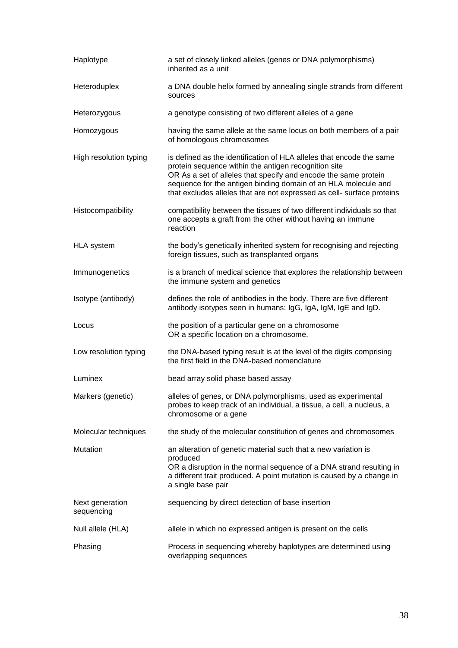| Haplotype                     | a set of closely linked alleles (genes or DNA polymorphisms)<br>inherited as a unit                                                                                                                                                                                                                                                         |
|-------------------------------|---------------------------------------------------------------------------------------------------------------------------------------------------------------------------------------------------------------------------------------------------------------------------------------------------------------------------------------------|
| Heteroduplex                  | a DNA double helix formed by annealing single strands from different<br>sources                                                                                                                                                                                                                                                             |
| Heterozygous                  | a genotype consisting of two different alleles of a gene                                                                                                                                                                                                                                                                                    |
| Homozygous                    | having the same allele at the same locus on both members of a pair<br>of homologous chromosomes                                                                                                                                                                                                                                             |
| High resolution typing        | is defined as the identification of HLA alleles that encode the same<br>protein sequence within the antigen recognition site<br>OR As a set of alleles that specify and encode the same protein<br>sequence for the antigen binding domain of an HLA molecule and<br>that excludes alleles that are not expressed as cell- surface proteins |
| Histocompatibility            | compatibility between the tissues of two different individuals so that<br>one accepts a graft from the other without having an immune<br>reaction                                                                                                                                                                                           |
| <b>HLA</b> system             | the body's genetically inherited system for recognising and rejecting<br>foreign tissues, such as transplanted organs                                                                                                                                                                                                                       |
| Immunogenetics                | is a branch of medical science that explores the relationship between<br>the immune system and genetics                                                                                                                                                                                                                                     |
| Isotype (antibody)            | defines the role of antibodies in the body. There are five different<br>antibody isotypes seen in humans: IgG, IgA, IgM, IgE and IgD.                                                                                                                                                                                                       |
| Locus                         | the position of a particular gene on a chromosome<br>OR a specific location on a chromosome.                                                                                                                                                                                                                                                |
| Low resolution typing         | the DNA-based typing result is at the level of the digits comprising<br>the first field in the DNA-based nomenclature                                                                                                                                                                                                                       |
| Luminex                       | bead array solid phase based assay                                                                                                                                                                                                                                                                                                          |
| Markers (genetic)             | alleles of genes, or DNA polymorphisms, used as experimental<br>probes to keep track of an individual, a tissue, a cell, a nucleus, a<br>chromosome or a gene                                                                                                                                                                               |
| Molecular techniques          | the study of the molecular constitution of genes and chromosomes                                                                                                                                                                                                                                                                            |
| Mutation                      | an alteration of genetic material such that a new variation is<br>produced<br>OR a disruption in the normal sequence of a DNA strand resulting in<br>a different trait produced. A point mutation is caused by a change in<br>a single base pair                                                                                            |
| Next generation<br>sequencing | sequencing by direct detection of base insertion                                                                                                                                                                                                                                                                                            |
| Null allele (HLA)             | allele in which no expressed antigen is present on the cells                                                                                                                                                                                                                                                                                |
| Phasing                       | Process in sequencing whereby haplotypes are determined using<br>overlapping sequences                                                                                                                                                                                                                                                      |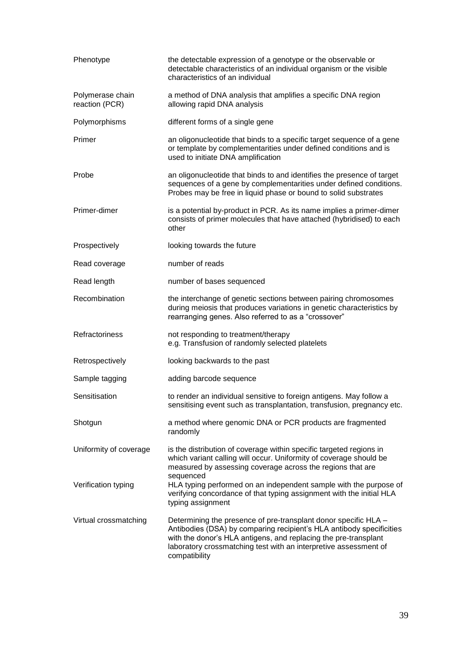| Phenotype                          | the detectable expression of a genotype or the observable or<br>detectable characteristics of an individual organism or the visible<br>characteristics of an individual                                                                                                                         |
|------------------------------------|-------------------------------------------------------------------------------------------------------------------------------------------------------------------------------------------------------------------------------------------------------------------------------------------------|
| Polymerase chain<br>reaction (PCR) | a method of DNA analysis that amplifies a specific DNA region<br>allowing rapid DNA analysis                                                                                                                                                                                                    |
| Polymorphisms                      | different forms of a single gene                                                                                                                                                                                                                                                                |
| Primer                             | an oligonucleotide that binds to a specific target sequence of a gene<br>or template by complementarities under defined conditions and is<br>used to initiate DNA amplification                                                                                                                 |
| Probe                              | an oligonucleotide that binds to and identifies the presence of target<br>sequences of a gene by complementarities under defined conditions.<br>Probes may be free in liquid phase or bound to solid substrates                                                                                 |
| Primer-dimer                       | is a potential by-product in PCR. As its name implies a primer-dimer<br>consists of primer molecules that have attached (hybridised) to each<br>other                                                                                                                                           |
| Prospectively                      | looking towards the future                                                                                                                                                                                                                                                                      |
| Read coverage                      | number of reads                                                                                                                                                                                                                                                                                 |
| Read length                        | number of bases sequenced                                                                                                                                                                                                                                                                       |
| Recombination                      | the interchange of genetic sections between pairing chromosomes<br>during meiosis that produces variations in genetic characteristics by<br>rearranging genes. Also referred to as a "crossover"                                                                                                |
| Refractoriness                     | not responding to treatment/therapy<br>e.g. Transfusion of randomly selected platelets                                                                                                                                                                                                          |
| Retrospectively                    | looking backwards to the past                                                                                                                                                                                                                                                                   |
| Sample tagging                     | adding barcode sequence                                                                                                                                                                                                                                                                         |
| Sensitisation                      | to render an individual sensitive to foreign antigens. May follow a<br>sensitising event such as transplantation, transfusion, pregnancy etc.                                                                                                                                                   |
| Shotgun                            | a method where genomic DNA or PCR products are fragmented<br>randomly                                                                                                                                                                                                                           |
| Uniformity of coverage             | is the distribution of coverage within specific targeted regions in<br>which variant calling will occur. Uniformity of coverage should be<br>measured by assessing coverage across the regions that are<br>sequenced                                                                            |
| Verification typing                | HLA typing performed on an independent sample with the purpose of<br>verifying concordance of that typing assignment with the initial HLA<br>typing assignment                                                                                                                                  |
| Virtual crossmatching              | Determining the presence of pre-transplant donor specific HLA -<br>Antibodies (DSA) by comparing recipient's HLA antibody specificities<br>with the donor's HLA antigens, and replacing the pre-transplant<br>laboratory crossmatching test with an interpretive assessment of<br>compatibility |